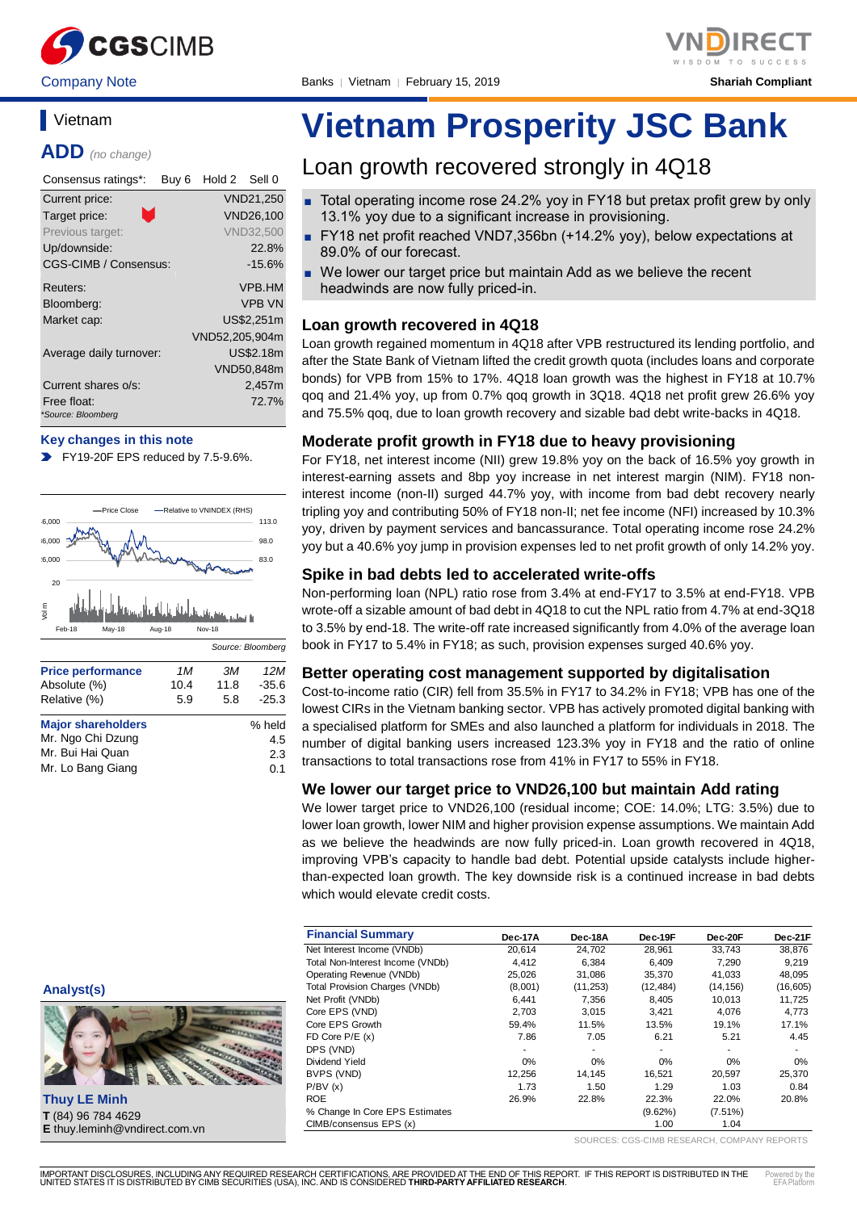

# **Vietnam**

**ADD** *(no change)*

| Consensus ratings*:     | Buy 6 | Hold 2 Sell 0  |                  |
|-------------------------|-------|----------------|------------------|
| Current price:          |       |                | VND21,250        |
| n.<br>Target price:     |       |                | <b>VND26,100</b> |
| Previous target:        |       |                | <b>VND32,500</b> |
| Up/downside:            |       |                | 22.8%            |
| CGS-CIMB / Consensus:   |       |                | $-15.6%$         |
| Reuters:                |       |                | VPB.HM           |
| Bloomberg:              |       |                | <b>VPB VN</b>    |
| Market cap:             |       |                | US\$2.251m       |
|                         |       | VND52.205.904m |                  |
| Average daily turnover: |       |                | US\$2.18m        |
|                         |       |                | VND50,848m       |
| Current shares o/s:     |       |                | 2,457m           |
| Free float:             |       |                | 72.7%            |
| *Source: Bloomberg      |       |                |                  |

#### **Key changes in this note**

FY19-20F EPS reduced by 7.5-9.6%.



| <b>Major shareholders</b> | % held |
|---------------------------|--------|
| Mr. Ngo Chi Dzung         | 4.5    |
| Mr. Bui Hai Quan          | 2.3    |
| Mr. Lo Bang Giang         | 0.1    |
|                           |        |

# **Vietnam Prosperity JSC Bank**

# Loan growth recovered strongly in 4Q18

- Total operating income rose 24.2% yoy in FY18 but pretax profit grew by only 13.1% yoy due to a significant increase in provisioning.
- FY18 net profit reached VND7,356bn (+14.2% yoy), below expectations at 89.0% of our forecast.
- We lower our target price but maintain Add as we believe the recent headwinds are now fully priced-in.

### **Loan growth recovered in 4Q18**

Loan growth regained momentum in 4Q18 after VPB restructured its lending portfolio, and after the State Bank of Vietnam lifted the credit growth quota (includes loans and corporate bonds) for VPB from 15% to 17%. 4Q18 loan growth was the highest in FY18 at 10.7% qoq and 21.4% yoy, up from 0.7% qoq growth in 3Q18. 4Q18 net profit grew 26.6% yoy and 75.5% qoq, due to loan growth recovery and sizable bad debt write-backs in 4Q18.

## **Moderate profit growth in FY18 due to heavy provisioning**

For FY18, net interest income (NII) grew 19.8% yoy on the back of 16.5% yoy growth in interest-earning assets and 8bp yoy increase in net interest margin (NIM). FY18 noninterest income (non-II) surged 44.7% yoy, with income from bad debt recovery nearly tripling yoy and contributing 50% of FY18 non-II; net fee income (NFI) increased by 10.3% yoy, driven by payment services and bancassurance. Total operating income rose 24.2% yoy but a 40.6% yoy jump in provision expenses led to net profit growth of only 14.2% yoy.

# **Spike in bad debts led to accelerated write-offs**

Non-performing loan (NPL) ratio rose from 3.4% at end-FY17 to 3.5% at end-FY18. VPB wrote-off a sizable amount of bad debt in 4Q18 to cut the NPL ratio from 4.7% at end-3Q18 to 3.5% by end-18. The write-off rate increased significantly from 4.0% of the average loan book in FY17 to 5.4% in FY18; as such, provision expenses surged 40.6% yoy.

## **Better operating cost management supported by digitalisation**

Cost-to-income ratio (CIR) fell from 35.5% in FY17 to 34.2% in FY18; VPB has one of the lowest CIRs in the Vietnam banking sector. VPB has actively promoted digital banking with a specialised platform for SMEs and also launched a platform for individuals in 2018. The number of digital banking users increased 123.3% yoy in FY18 and the ratio of online transactions to total transactions rose from 41% in FY17 to 55% in FY18.

#### **We lower our target price to VND26,100 but maintain Add rating**

We lower target price to VND26,100 (residual income; COE: 14.0%; LTG: 3.5%) due to lower loan growth, lower NIM and higher provision expense assumptions. We maintain Add as we believe the headwinds are now fully priced-in. Loan growth recovered in 4Q18, improving VPB's capacity to handle bad debt. Potential upside catalysts include higherthan-expected loan growth. The key downside risk is a continued increase in bad debts which would elevate credit costs.

| <b>Financial Summary</b>              | Dec-17A | Dec-18A   | Dec-19F    | Dec-20F    | Dec-21F   |
|---------------------------------------|---------|-----------|------------|------------|-----------|
| Net Interest Income (VNDb)            | 20,614  | 24,702    | 28,961     | 33,743     | 38,876    |
| Total Non-Interest Income (VNDb)      | 4.412   | 6.384     | 6.409      | 7.290      | 9,219     |
| Operating Revenue (VNDb)              | 25,026  | 31,086    | 35,370     | 41.033     | 48,095    |
| <b>Total Provision Charges (VNDb)</b> | (8,001) | (11, 253) | (12, 484)  | (14, 156)  | (16, 605) |
| Net Profit (VNDb)                     | 6,441   | 7,356     | 8,405      | 10,013     | 11,725    |
| Core EPS (VND)                        | 2.703   | 3.015     | 3.421      | 4.076      | 4,773     |
| Core EPS Growth                       | 59.4%   | 11.5%     | 13.5%      | 19.1%      | 17.1%     |
| FD Core $P/E(x)$                      | 7.86    | 7.05      | 6.21       | 5.21       | 4.45      |
| DPS (VND)                             |         |           |            | ٠          | ٠         |
| Dividend Yield                        | 0%      | $0\%$     | 0%         | 0%         | $0\%$     |
| BVPS (VND)                            | 12,256  | 14.145    | 16.521     | 20,597     | 25,370    |
| P/BV(x)                               | 1.73    | 1.50      | 1.29       | 1.03       | 0.84      |
| <b>ROE</b>                            | 26.9%   | 22.8%     | 22.3%      | 22.0%      | 20.8%     |
| % Change In Core EPS Estimates        |         |           | $(9.62\%)$ | $(7.51\%)$ |           |
| CIMB/consensus EPS (x)                |         |           | 1.00       | 1.04       |           |

SOURCES: CGS-CIMB RESEARCH, COMPANY REPORTS

**Analyst(s)**



**Thuy LE Minh T** (84) 96 784 4629 **E** thuy.leminh@vndirect.com.vn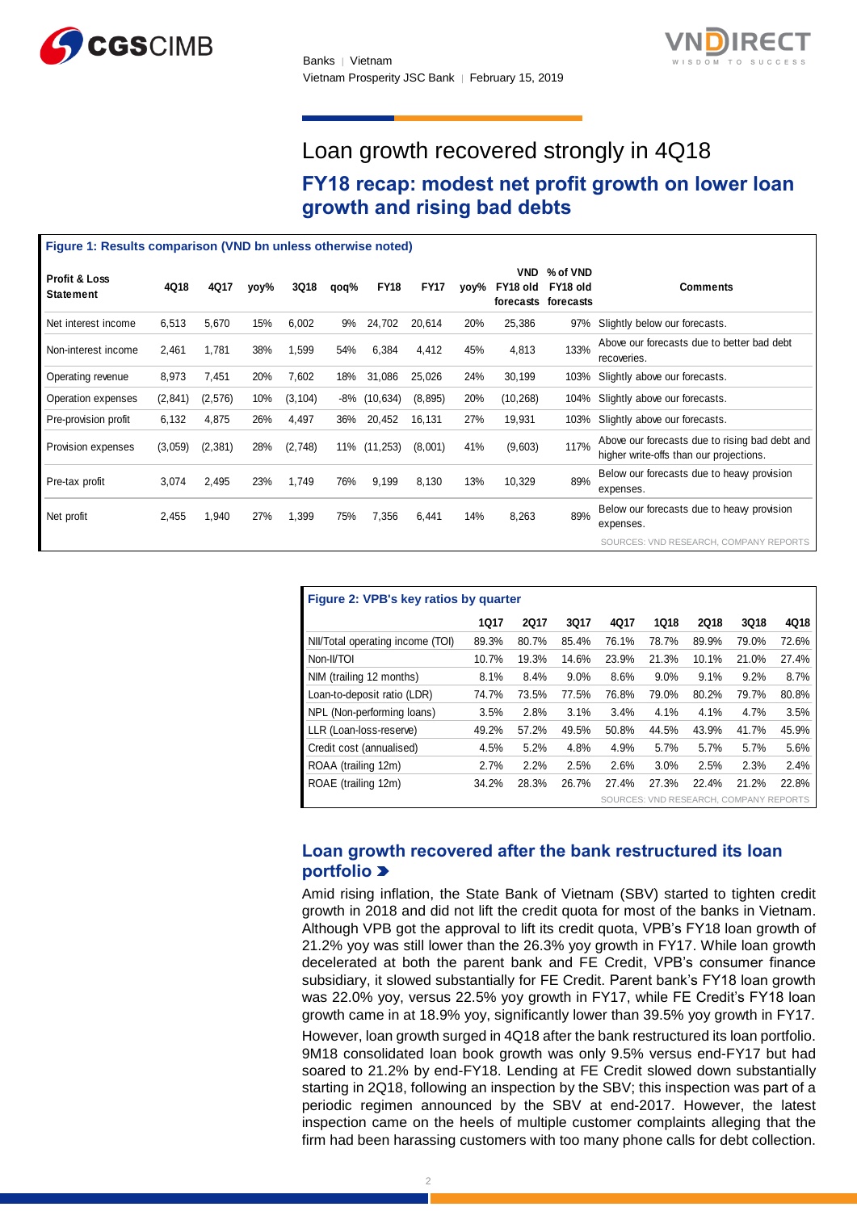



# Loan growth recovered strongly in 4Q18

# **FY18 recap: modest net profit growth on lower loan growth and rising bad debts**

|                                                              | growth and rising bad debts |          |      |             |      |             |             |      |                                     |                                   |                                                                                           |
|--------------------------------------------------------------|-----------------------------|----------|------|-------------|------|-------------|-------------|------|-------------------------------------|-----------------------------------|-------------------------------------------------------------------------------------------|
| Figure 1: Results comparison (VND bn unless otherwise noted) |                             |          |      |             |      |             |             |      |                                     |                                   |                                                                                           |
| <b>Profit &amp; Loss</b><br><b>Statement</b>                 | 4Q18                        | 4Q17     | yoy% | <b>3Q18</b> | qoq% | <b>FY18</b> | <b>FY17</b> | yoy% | <b>VND</b><br>FY18 old<br>forecasts | % of VND<br>FY18 old<br>forecasts | <b>Comments</b>                                                                           |
| Net interest income                                          | 6,513                       | 5,670    | 15%  | 6,002       | 9%   | 24,702      | 20,614      | 20%  | 25,386                              | 97%                               | Slightly below our forecasts.                                                             |
| Non-interest income                                          | 2,461                       | 1,781    | 38%  | 1,599       | 54%  | 6,384       | 4,412       | 45%  | 4,813                               | 133%                              | Above our forecasts due to better bad debt<br>recoveries.                                 |
| Operating revenue                                            | 8,973                       | 7,451    | 20%  | 7,602       | 18%  | 31,086      | 25,026      | 24%  | 30,199                              | 103%                              | Slightly above our forecasts.                                                             |
| Operation expenses                                           | (2,841)                     | (2,576)  | 10%  | (3, 104)    | -8%  | (10, 634)   | (8, 895)    | 20%  | (10, 268)                           | 104%                              | Slightly above our forecasts.                                                             |
| Pre-provision profit                                         | 6,132                       | 4,875    | 26%  | 4,497       | 36%  | 20,452      | 16,131      | 27%  | 19,931                              | 103%                              | Slightly above our forecasts.                                                             |
| Provision expenses                                           | (3,059)                     | (2, 381) | 28%  | (2,748)     | 11%  | (11, 253)   | (8,001)     | 41%  | (9,603)                             | 117%                              | Above our forecasts due to rising bad debt and<br>higher write-offs than our projections. |
| Pre-tax profit                                               | 3,074                       | 2,495    | 23%  | 1,749       | 76%  | 9,199       | 8,130       | 13%  | 10,329                              | 89%                               | Below our forecasts due to heavy provision<br>expenses.                                   |
| Net profit                                                   | 2,455                       | 1,940    | 27%  | 1,399       | 75%  | 7,356       | 6,441       | 14%  | 8,263                               | 89%                               | Below our forecasts due to heavy provision<br>expenses.                                   |
|                                                              |                             |          |      |             |      |             |             |      |                                     |                                   | SOURCES: VND RESEARCH, COMPANY REPORTS                                                    |

| Figure 2: VPB's key ratios by quarter  |             |             |             |       |       |             |       |       |  |
|----------------------------------------|-------------|-------------|-------------|-------|-------|-------------|-------|-------|--|
|                                        | <b>1Q17</b> | <b>2Q17</b> | <b>3Q17</b> | 4Q17  | 1018  | <b>2Q18</b> | 3Q18  | 4Q18  |  |
| NII/Total operating income (TOI)       | 89.3%       | 80.7%       | 85.4%       | 76.1% | 78.7% | 89.9%       | 79.0% | 72.6% |  |
| Non-II/TOI                             | 10.7%       | 19.3%       | 14.6%       | 23.9% | 21.3% | 10.1%       | 21.0% | 27.4% |  |
| NIM (trailing 12 months)               | 8.1%        | 8.4%        | 9.0%        | 8.6%  | 9.0%  | 9.1%        | 9.2%  | 8.7%  |  |
| Loan-to-deposit ratio (LDR)            | 74.7%       | 73.5%       | 77.5%       | 76.8% | 79.0% | 80.2%       | 79.7% | 80.8% |  |
| NPL (Non-performing loans)             | 3.5%        | 2.8%        | 3.1%        | 3.4%  | 4.1%  | 4.1%        | 4.7%  | 3.5%  |  |
| LLR (Loan-loss-reserve)                | 49.2%       | 57.2%       | 49.5%       | 50.8% | 44.5% | 43.9%       | 41.7% | 45.9% |  |
| Credit cost (annualised)               | 4.5%        | 5.2%        | 4.8%        | 4.9%  | 5.7%  | 5.7%        | 5.7%  | 5.6%  |  |
| ROAA (trailing 12m)                    | 2.7%        | 2.2%        | 2.5%        | 2.6%  | 3.0%  | 2.5%        | 2.3%  | 2.4%  |  |
| ROAE (trailing 12m)                    | 34.2%       | 28.3%       | 26.7%       | 27.4% | 27.3% | 22.4%       | 21.2% | 22.8% |  |
| SOURCES: VND RESEARCH, COMPANY REPORTS |             |             |             |       |       |             |       |       |  |

# **Loan growth recovered after the bank restructured its loan portfolio**

Amid rising inflation, the State Bank of Vietnam (SBV) started to tighten credit growth in 2018 and did not lift the credit quota for most of the banks in Vietnam. Although VPB got the approval to lift its credit quota, VPB's FY18 loan growth of 21.2% yoy was still lower than the 26.3% yoy growth in FY17. While loan growth decelerated at both the parent bank and FE Credit, VPB's consumer finance subsidiary, it slowed substantially for FE Credit. Parent bank's FY18 loan growth was 22.0% yoy, versus 22.5% yoy growth in FY17, while FE Credit's FY18 loan growth came in at 18.9% yoy, significantly lower than 39.5% yoy growth in FY17.

However, loan growth surged in 4Q18 after the bank restructured its loan portfolio. 9M18 consolidated loan book growth was only 9.5% versus end-FY17 but had soared to 21.2% by end-FY18. Lending at FE Credit slowed down substantially starting in 2Q18, following an inspection by the SBV; this inspection was part of a periodic regimen announced by the SBV at end-2017. However, the latest inspection came on the heels of multiple customer complaints alleging that the firm had been harassing customers with too many phone calls for debt collection.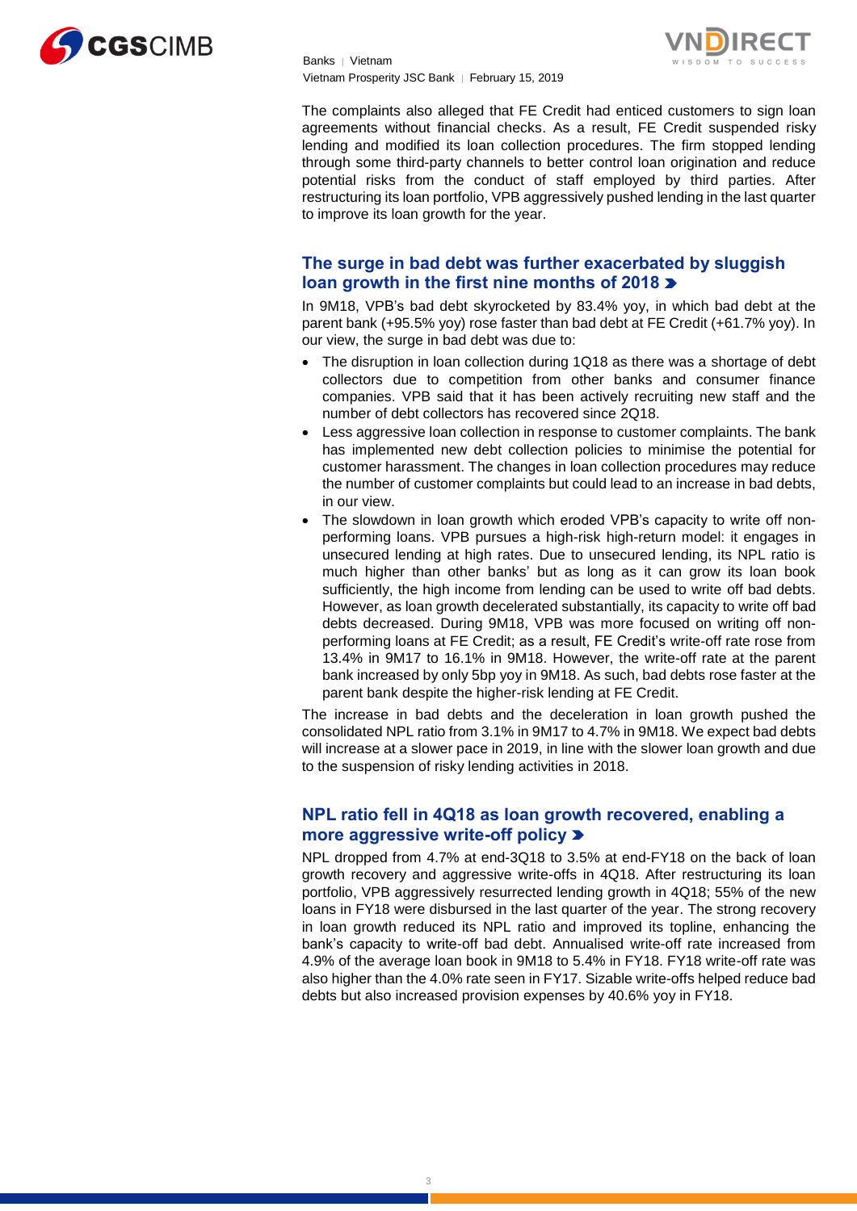



The complaints also alleged that FE Credit had enticed customers to sign loan agreements without financial checks. As a result, FE Credit suspended risky lending and modified its loan collection procedures. The firm stopped lending through some third-party channels to better control loan origination and reduce potential risks from the conduct of staff employed by third parties. After restructuring its loan portfolio, VPB aggressively pushed lending in the last quarter to improve its loan growth for the year.

# **The surge in bad debt was further exacerbated by sluggish loan growth in the first nine months of 2018**

In 9M18, VPB's bad debt skyrocketed by 83.4% yoy, in which bad debt at the parent bank (+95.5% yoy) rose faster than bad debt at FE Credit (+61.7% yoy). In our view, the surge in bad debt was due to:

- The disruption in loan collection during 1Q18 as there was a shortage of debt collectors due to competition from other banks and consumer finance companies. VPB said that it has been actively recruiting new staff and the number of debt collectors has recovered since 2Q18.
- Less aggressive loan collection in response to customer complaints. The bank has implemented new debt collection policies to minimise the potential for customer harassment. The changes in loan collection procedures may reduce the number of customer complaints but could lead to an increase in bad debts, in our view.
- The slowdown in loan growth which eroded VPB's capacity to write off nonperforming loans. VPB pursues a high-risk high-return model: it engages in unsecured lending at high rates. Due to unsecured lending, its NPL ratio is much higher than other banks' but as long as it can grow its loan book sufficiently, the high income from lending can be used to write off bad debts. However, as loan growth decelerated substantially, its capacity to write off bad debts decreased. During 9M18, VPB was more focused on writing off nonperforming loans at FE Credit; as a result, FE Credit's write-off rate rose from 13.4% in 9M17 to 16.1% in 9M18. However, the write-off rate at the parent bank increased by only 5bp yoy in 9M18. As such, bad debts rose faster at the parent bank despite the higher-risk lending at FE Credit.

The increase in bad debts and the deceleration in loan growth pushed the consolidated NPL ratio from 3.1% in 9M17 to 4.7% in 9M18. We expect bad debts will increase at a slower pace in 2019, in line with the slower loan growth and due to the suspension of risky lending activities in 2018.

# **NPL ratio fell in 4Q18 as loan growth recovered, enabling a more aggressive write-off policy**

NPL dropped from 4.7% at end-3Q18 to 3.5% at end-FY18 on the back of loan growth recovery and aggressive write-offs in 4Q18. After restructuring its loan portfolio, VPB aggressively resurrected lending growth in 4Q18; 55% of the new loans in FY18 were disbursed in the last quarter of the year. The strong recovery in loan growth reduced its NPL ratio and improved its topline, enhancing the bank's capacity to write-off bad debt. Annualised write-off rate increased from 4.9% of the average loan book in 9M18 to 5.4% in FY18. FY18 write-off rate was also higher than the 4.0% rate seen in FY17. Sizable write-offs helped reduce bad debts but also increased provision expenses by 40.6% yoy in FY18.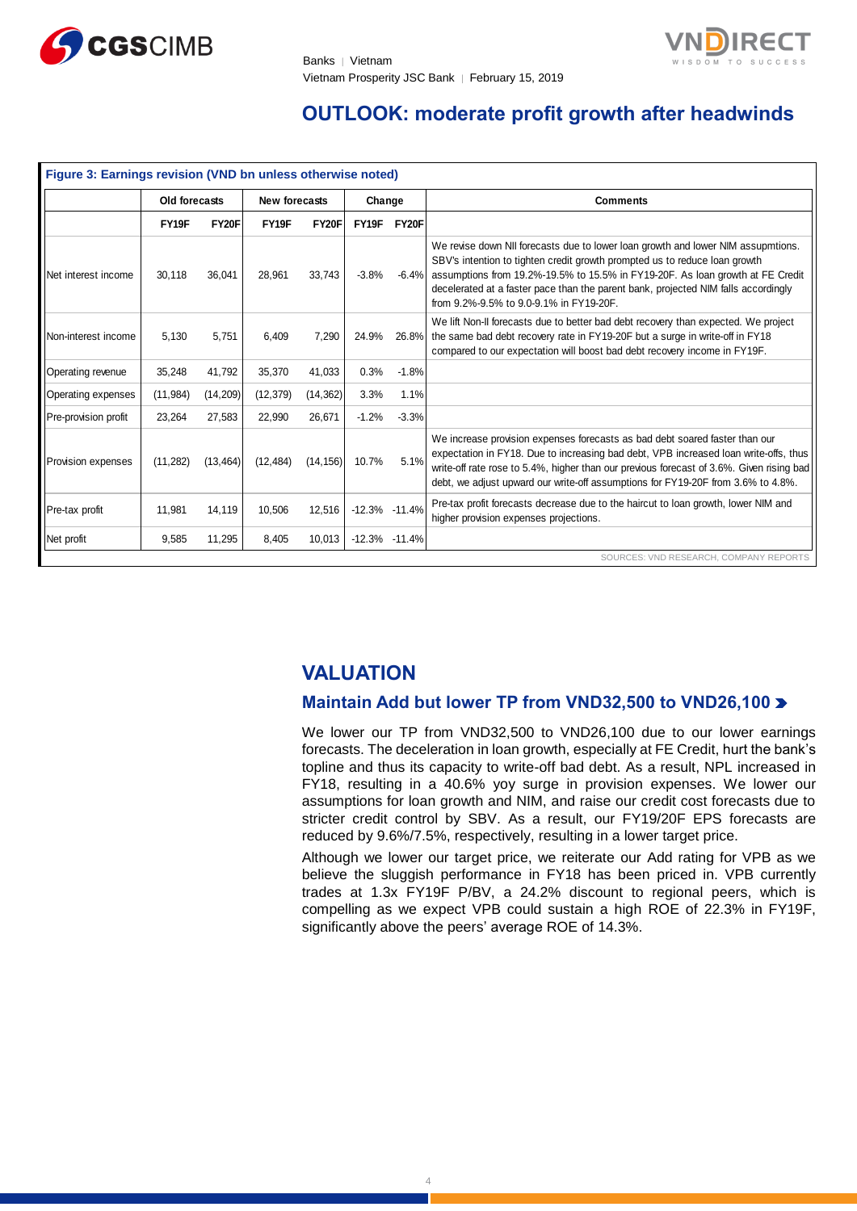

# **OUTLOOK: moderate profit growth after headwinds**

| Figure 3: Earnings revision (VND bn unless otherwise noted) |               |              |               |           |                   |         |                                                                                                                                                                                                                                                                                                                                                                                   |
|-------------------------------------------------------------|---------------|--------------|---------------|-----------|-------------------|---------|-----------------------------------------------------------------------------------------------------------------------------------------------------------------------------------------------------------------------------------------------------------------------------------------------------------------------------------------------------------------------------------|
|                                                             | Old forecasts |              | New forecasts |           | Change            |         | <b>Comments</b>                                                                                                                                                                                                                                                                                                                                                                   |
|                                                             | FY19F         | <b>FY20F</b> | FY19F         | FY20F     | FY19F             | FY20F   |                                                                                                                                                                                                                                                                                                                                                                                   |
| Net interest income                                         | 30.118        | 36.041       | 28.961        | 33.743    | $-3.8%$           | $-6.4%$ | We revise down NII forecasts due to lower loan growth and lower NIM assupmtions.<br>SBV's intention to tighten credit growth prompted us to reduce loan growth<br>assumptions from 19.2%-19.5% to 15.5% in FY19-20F. As loan growth at FE Credit<br>decelerated at a faster pace than the parent bank, projected NIM falls accordingly<br>from 9.2%-9.5% to 9.0-9.1% in FY19-20F. |
| Non-interest income                                         | 5.130         | 5.751        | 6.409         | 7.290     | 24.9%             | 26.8%   | We lift Non-II forecasts due to better bad debt recovery than expected. We project<br>the same bad debt recovery rate in FY19-20F but a surge in write-off in FY18<br>compared to our expectation will boost bad debt recovery income in FY19F.                                                                                                                                   |
| Operating revenue                                           | 35,248        | 41.792       | 35,370        | 41,033    | 0.3%              | $-1.8%$ |                                                                                                                                                                                                                                                                                                                                                                                   |
| <b>Operating expenses</b>                                   | (11, 984)     | (14, 209)    | (12, 379)     | (14, 362) | 3.3%              | 1.1%    |                                                                                                                                                                                                                                                                                                                                                                                   |
| Pre-provision profit                                        | 23,264        | 27,583       | 22,990        | 26,671    | $-1.2%$           | $-3.3%$ |                                                                                                                                                                                                                                                                                                                                                                                   |
| <b>Provision expenses</b>                                   | (11, 282)     | (13, 464)    | (12, 484)     | (14, 156) | 10.7%             | 5.1%    | We increase provision expenses forecasts as bad debt soared faster than our<br>expectation in FY18. Due to increasing bad debt, VPB increased loan write-offs, thus<br>write-off rate rose to 5.4%, higher than our previous forecast of 3.6%. Given rising bad<br>debt, we adjust upward our write-off assumptions for FY19-20F from 3.6% to 4.8%.                               |
| Pre-tax profit                                              | 11,981        | 14,119       | 10,506        | 12,516    | $-12.3\% -11.4\%$ |         | Pre-tax profit forecasts decrease due to the haircut to loan growth, lower NIM and<br>higher provision expenses projections.                                                                                                                                                                                                                                                      |
| Net profit                                                  | 9,585         | 11,295       | 8,405         | 10,013    | $-12.3\% -11.4\%$ |         |                                                                                                                                                                                                                                                                                                                                                                                   |
|                                                             |               |              |               |           |                   |         | SOURCES: VND RESEARCH, COMPANY REPORTS                                                                                                                                                                                                                                                                                                                                            |

# **VALUATION**

# **Maintain Add but lower TP from VND32,500 to VND26,100**

We lower our TP from VND32,500 to VND26,100 due to our lower earnings forecasts. The deceleration in loan growth, especially at FE Credit, hurt the bank's topline and thus its capacity to write-off bad debt. As a result, NPL increased in FY18, resulting in a 40.6% yoy surge in provision expenses. We lower our assumptions for loan growth and NIM, and raise our credit cost forecasts due to stricter credit control by SBV. As a result, our FY19/20F EPS forecasts are reduced by 9.6%/7.5%, respectively, resulting in a lower target price.

Although we lower our target price, we reiterate our Add rating for VPB as we believe the sluggish performance in FY18 has been priced in. VPB currently trades at 1.3x FY19F P/BV, a 24.2% discount to regional peers, which is compelling as we expect VPB could sustain a high ROE of 22.3% in FY19F, significantly above the peers' average ROE of 14.3%.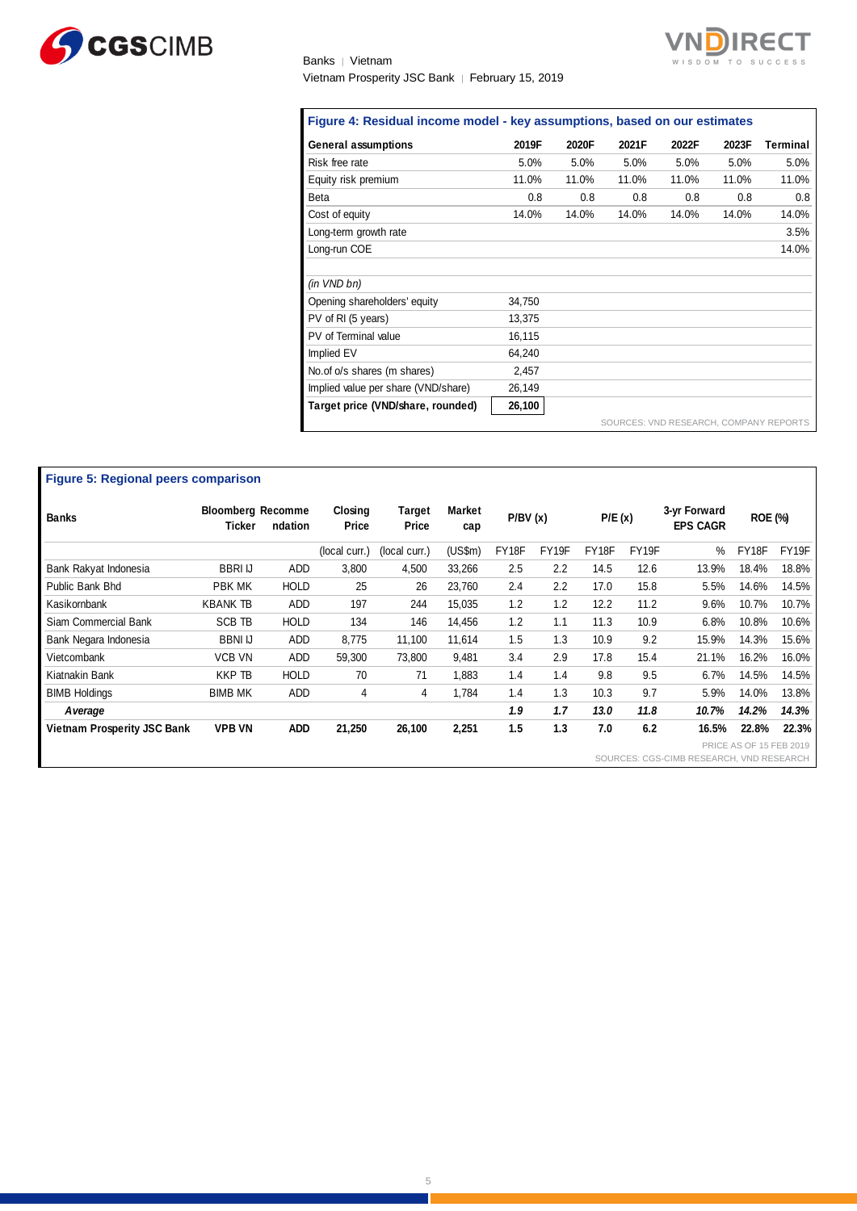

# Banks | Vietnam Vietnam Prosperity JSC Bank │ February 15, 2019



| <b>General assumptions</b>          | 2019F  | 2020F | 2021F                                  | 2022F | 2023F | Terminal |
|-------------------------------------|--------|-------|----------------------------------------|-------|-------|----------|
| Risk free rate                      | 5.0%   | 5.0%  | 5.0%                                   | 5.0%  | 5.0%  | 5.0%     |
| Equity risk premium                 | 11.0%  | 11.0% | 11.0%                                  | 11.0% | 11.0% | 11.0%    |
| <b>Beta</b>                         | 0.8    | 0.8   | 0.8                                    | 0.8   | 0.8   | 0.8      |
| Cost of equity                      | 14.0%  | 14.0% | 14.0%                                  | 14.0% | 14.0% | 14.0%    |
| Long-term growth rate               |        |       |                                        |       |       | 3.5%     |
| Long-run COE                        |        |       |                                        |       |       | 14.0%    |
|                                     |        |       |                                        |       |       |          |
| (in VND bn)                         |        |       |                                        |       |       |          |
| Opening shareholders' equity        | 34,750 |       |                                        |       |       |          |
| PV of RI (5 years)                  | 13,375 |       |                                        |       |       |          |
| PV of Terminal value                | 16,115 |       |                                        |       |       |          |
| Implied EV                          | 64,240 |       |                                        |       |       |          |
| No. of o/s shares (m shares)        | 2,457  |       |                                        |       |       |          |
| Implied value per share (VND/share) | 26,149 |       |                                        |       |       |          |
| Target price (VND/share, rounded)   | 26,100 |       |                                        |       |       |          |
|                                     |        |       | SOURCES: VND RESEARCH, COMPANY REPORTS |       |       |          |

| <b>Figure 5: Regional peers comparison</b> |                                    |             |                  |                 |               |         |       |        |       |                                          |                                |       |
|--------------------------------------------|------------------------------------|-------------|------------------|-----------------|---------------|---------|-------|--------|-------|------------------------------------------|--------------------------------|-------|
| <b>Banks</b>                               | <b>Bloomberg Recomme</b><br>Ticker | ndation     | Closing<br>Price | Target<br>Price | Market<br>cap | P/BV(x) |       | P/E(x) |       | 3-yr Forward<br><b>EPS CAGR</b>          | <b>ROE (%)</b>                 |       |
|                                            |                                    |             | (local curr.)    | (local curr.)   | (US\$m)       | FY18F   | FY19F | FY18F  | FY19F | $\%$                                     | FY18F                          | FY19F |
| Bank Rakyat Indonesia                      | <b>BBRI IJ</b>                     | ADD         | 3,800            | 4,500           | 33,266        | 2.5     | 2.2   | 14.5   | 12.6  | 13.9%                                    | 18.4%                          | 18.8% |
| Public Bank Bhd                            | PBK MK                             | <b>HOLD</b> | 25               | 26              | 23,760        | 2.4     | 2.2   | 17.0   | 15.8  | 5.5%                                     | 14.6%                          | 14.5% |
| Kasikornbank                               | <b>KBANK TB</b>                    | ADD         | 197              | 244             | 15,035        | 1.2     | 1.2   | 12.2   | 11.2  | 9.6%                                     | 10.7%                          | 10.7% |
| Siam Commercial Bank                       | <b>SCB TB</b>                      | <b>HOLD</b> | 134              | 146             | 14,456        | 1.2     | 1.1   | 11.3   | 10.9  | 6.8%                                     | 10.8%                          | 10.6% |
| Bank Negara Indonesia                      | <b>BBNI IJ</b>                     | ADD         | 8,775            | 11,100          | 11,614        | 1.5     | 1.3   | 10.9   | 9.2   | 15.9%                                    | 14.3%                          | 15.6% |
| Vietcombank                                | <b>VCB VN</b>                      | <b>ADD</b>  | 59,300           | 73,800          | 9,481         | 3.4     | 2.9   | 17.8   | 15.4  | 21.1%                                    | 16.2%                          | 16.0% |
| Kiatnakin Bank                             | <b>KKP TB</b>                      | <b>HOLD</b> | 70               | 71              | 1,883         | 1.4     | 1.4   | 9.8    | 9.5   | 6.7%                                     | 14.5%                          | 14.5% |
| <b>BIMB Holdings</b>                       | <b>BIMB MK</b>                     | ADD         | 4                | 4               | 1,784         | 1.4     | 1.3   | 10.3   | 9.7   | 5.9%                                     | 14.0%                          | 13.8% |
| <b>A</b> verage                            |                                    |             |                  |                 |               | 1.9     | 1.7   | 13.0   | 11.8  | 10.7%                                    | 14.2%                          | 14.3% |
| <b>Vietnam Prosperity JSC Bank</b>         | <b>VPB VN</b>                      | <b>ADD</b>  | 21,250           | 26,100          | 2,251         | 1.5     | 1.3   | 7.0    | 6.2   | 16.5%                                    | 22.8%                          | 22.3% |
|                                            |                                    |             |                  |                 |               |         |       |        |       | SOURCES: CGS-CIMB RESEARCH, VND RESEARCH | <b>PRICE AS OF 15 FEB 2019</b> |       |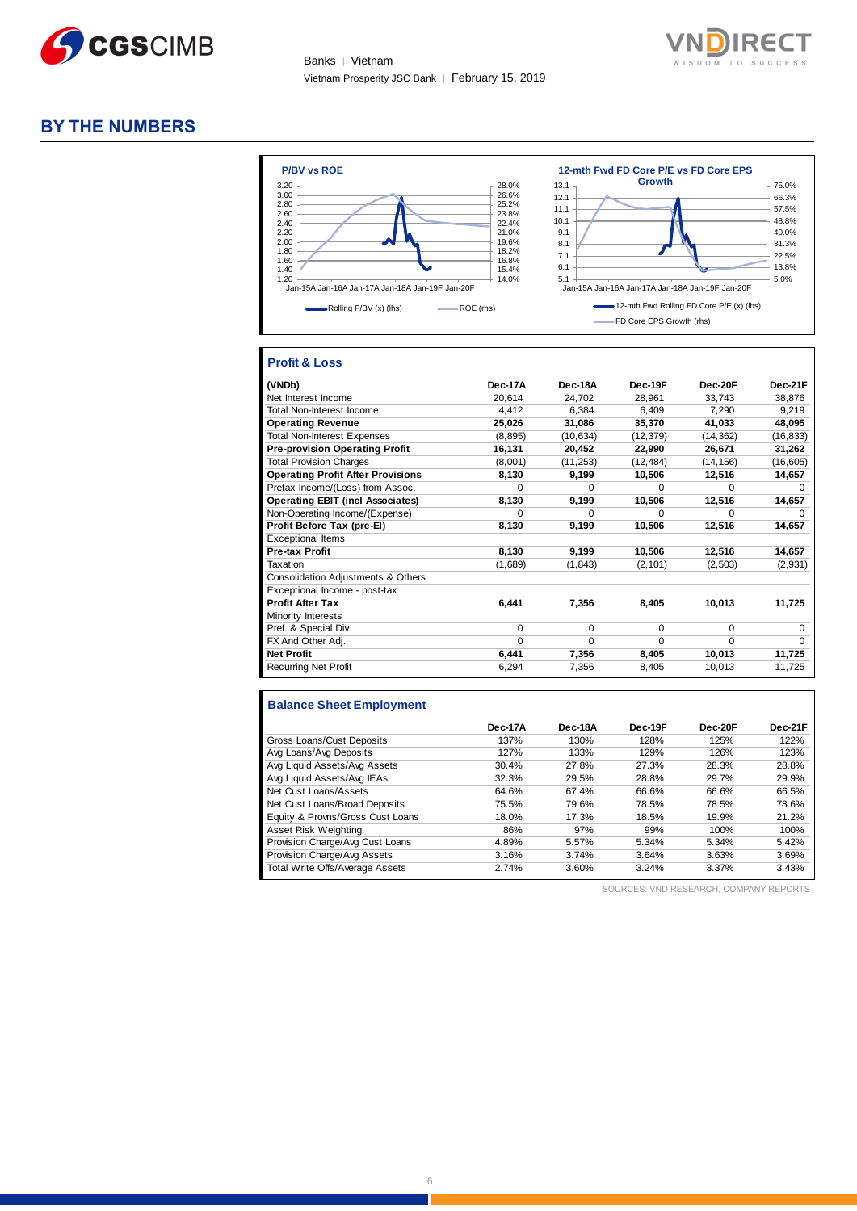



# **BY THE NUMBERS**



### **Profit & Loss**

| (VNDb)                                   | Dec-17A  | Dec-18A   | Dec-19F   | Dec-20F   | Dec-21F   |
|------------------------------------------|----------|-----------|-----------|-----------|-----------|
| Net Interest Income                      | 20,614   | 24,702    | 28,961    | 33,743    | 38,876    |
| <b>Total Non-Interest Income</b>         | 4.412    | 6.384     | 6.409     | 7.290     | 9,219     |
| <b>Operating Revenue</b>                 | 25,026   | 31,086    | 35,370    | 41,033    | 48,095    |
| <b>Total Non-Interest Expenses</b>       | (8,895)  | (10, 634) | (12, 379) | (14, 362) | (16, 833) |
| <b>Pre-provision Operating Profit</b>    | 16,131   | 20,452    | 22,990    | 26,671    | 31,262    |
| <b>Total Provision Charges</b>           | (8,001)  | (11, 253) | (12, 484) | (14, 156) | (16, 605) |
| <b>Operating Profit After Provisions</b> | 8,130    | 9,199     | 10,506    | 12,516    | 14,657    |
| Pretax Income/(Loss) from Assoc.         | $\Omega$ | $\Omega$  | $\Omega$  | $\Omega$  | $\Omega$  |
| <b>Operating EBIT (incl Associates)</b>  | 8,130    | 9,199     | 10,506    | 12,516    | 14,657    |
| Non-Operating Income/(Expense)           | $\Omega$ | 0         | $\Omega$  | $\Omega$  | $\Omega$  |
| Profit Before Tax (pre-El)               | 8,130    | 9,199     | 10,506    | 12,516    | 14,657    |
| <b>Exceptional Items</b>                 |          |           |           |           |           |
| Pre-tax Profit                           | 8,130    | 9,199     | 10,506    | 12,516    | 14,657    |
| Taxation                                 | (1,689)  | (1, 843)  | (2, 101)  | (2, 503)  | (2,931)   |
| Consolidation Adjustments & Others       |          |           |           |           |           |
| Exceptional Income - post-tax            |          |           |           |           |           |
| <b>Profit After Tax</b>                  | 6,441    | 7,356     | 8,405     | 10,013    | 11,725    |
| Minority Interests                       |          |           |           |           |           |
| Pref. & Special Div                      | $\Omega$ | $\Omega$  | 0         | $\Omega$  | $\Omega$  |
| FX And Other Adj.                        | $\Omega$ | $\Omega$  | $\Omega$  | $\Omega$  | $\Omega$  |
| <b>Net Profit</b>                        | 6,441    | 7,356     | 8,405     | 10,013    | 11,725    |
| <b>Recurring Net Profit</b>              | 6,294    | 7,356     | 8,405     | 10,013    | 11,725    |

### **Balance Sheet Employment**

|                                  | Dec-17A | Dec-18A | Dec-19F | Dec-20F | Dec-21F |
|----------------------------------|---------|---------|---------|---------|---------|
| Gross Loans/Cust Deposits        | 137%    | 130%    | 128%    | 125%    | 122%    |
| Avg Loans/Avg Deposits           | 127%    | 133%    | 129%    | 126%    | 123%    |
| Avg Liquid Assets/Avg Assets     | 30.4%   | 27.8%   | 27.3%   | 28.3%   | 28.8%   |
| Avg Liquid Assets/Avg IEAs       | 32.3%   | 29.5%   | 28.8%   | 29.7%   | 29.9%   |
| Net Cust Loans/Assets            | 64.6%   | 67.4%   | 66.6%   | 66.6%   | 66.5%   |
| Net Cust Loans/Broad Deposits    | 75.5%   | 79.6%   | 78.5%   | 78.5%   | 78.6%   |
| Equity & Provns/Gross Cust Loans | 18.0%   | 17.3%   | 18.5%   | 19.9%   | 21.2%   |
| Asset Risk Weighting             | 86%     | 97%     | 99%     | 100%    | 100%    |
| Provision Charge/Avg Cust Loans  | 4.89%   | 5.57%   | 5.34%   | 5.34%   | 5.42%   |
| Provision Charge/Avg Assets      | 3.16%   | 3.74%   | 3.64%   | 3.63%   | 3.69%   |
| Total Write Offs/Average Assets  | 2.74%   | 3.60%   | 3.24%   | 3.37%   | 3.43%   |

SOURCES: VND RESEARCH, COMPANY REPORTS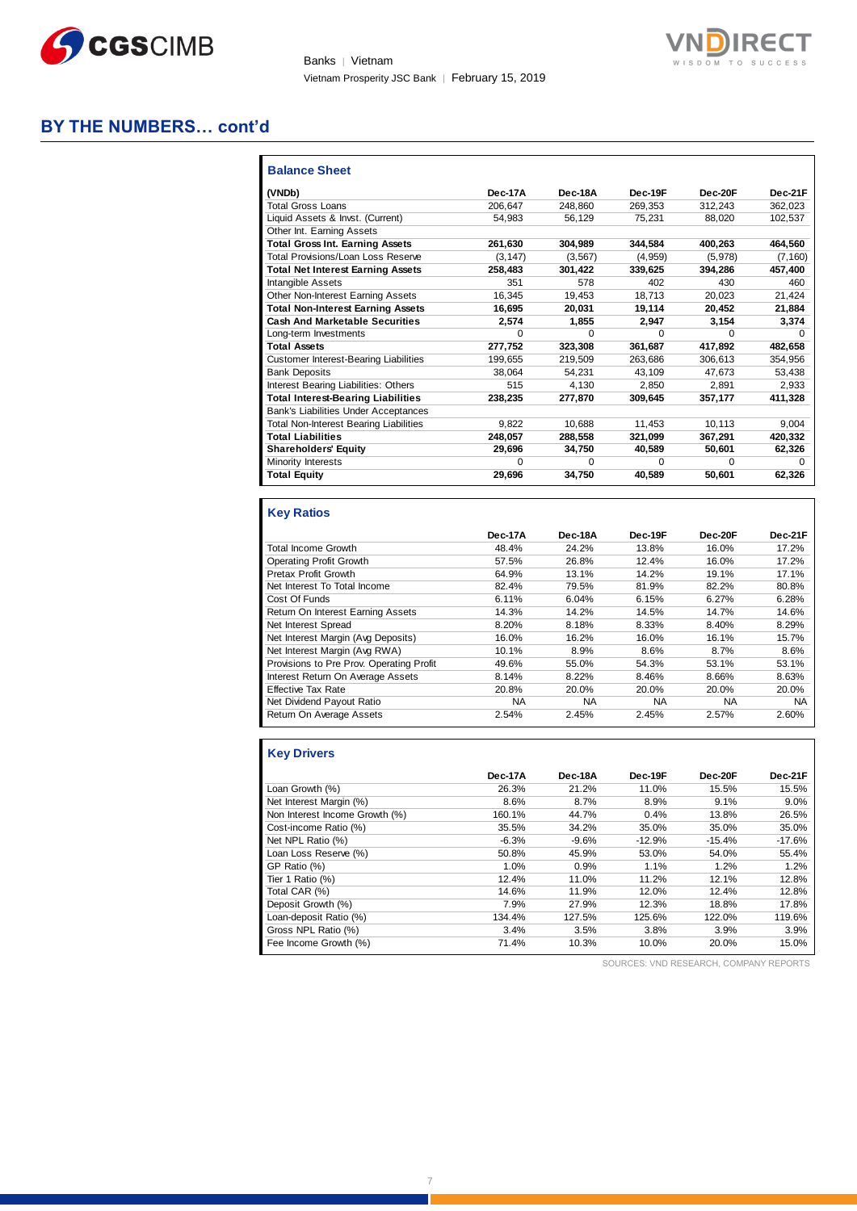

Banks | Vietnam Vietnam Prosperity JSC Bank │ February 15, 2019



# **BY THE NUMBERS… cont'd**

| <b>Balance Sheet</b>                          |          |              |          |              |          |
|-----------------------------------------------|----------|--------------|----------|--------------|----------|
| (VNDb)                                        | Dec-17A  | Dec-18A      | Dec-19F  | Dec-20F      | Dec-21F  |
| <b>Total Gross Loans</b>                      | 206.647  | 248.860      | 269.353  | 312.243      | 362.023  |
| Liquid Assets & Invst. (Current)              | 54.983   | 56.129       | 75.231   | 88.020       | 102,537  |
| Other Int. Earning Assets                     |          |              |          |              |          |
| <b>Total Gross Int. Earning Assets</b>        | 261,630  | 304,989      | 344,584  | 400,263      | 464,560  |
| Total Provisions/Loan Loss Reserve            | (3, 147) | (3, 567)     | (4,959)  | (5,978)      | (7, 160) |
| <b>Total Net Interest Earning Assets</b>      | 258.483  | 301,422      | 339,625  | 394.286      | 457,400  |
| Intangible Assets                             | 351      | 578          | 402      | 430          | 460      |
| Other Non-Interest Earning Assets             | 16.345   | 19.453       | 18,713   | 20.023       | 21,424   |
| <b>Total Non-Interest Earning Assets</b>      | 16,695   | 20,031       | 19,114   | 20,452       | 21,884   |
| <b>Cash And Marketable Securities</b>         | 2,574    | 1,855        | 2.947    | 3,154        | 3,374    |
| Long-term Investments                         | $\Omega$ | $\Omega$     | $\Omega$ | O            | $\Omega$ |
| <b>Total Assets</b>                           | 277.752  | 323,308      | 361.687  | 417.892      | 482,658  |
| <b>Customer Interest-Bearing Liabilities</b>  | 199.655  | 219,509      | 263.686  | 306.613      | 354,956  |
| <b>Bank Deposits</b>                          | 38.064   | 54.231       | 43,109   | 47.673       | 53,438   |
| Interest Bearing Liabilities: Others          | 515      | 4.130        | 2.850    | 2.891        | 2,933    |
| <b>Total Interest-Bearing Liabilities</b>     | 238.235  | 277.870      | 309.645  | 357.177      | 411.328  |
| Bank's Liabilities Under Acceptances          |          |              |          |              |          |
| <b>Total Non-Interest Bearing Liabilities</b> | 9.822    | 10,688       | 11.453   | 10,113       | 9,004    |
| <b>Total Liabilities</b>                      | 248.057  | 288,558      | 321,099  | 367,291      | 420,332  |
| <b>Shareholders' Equity</b>                   | 29,696   | 34,750       | 40,589   | 50,601       | 62,326   |
| <b>Minority Interests</b>                     | $\Omega$ | <sup>0</sup> | $\Omega$ | <sup>0</sup> | n        |
| <b>Total Equity</b>                           | 29,696   | 34,750       | 40,589   | 50,601       | 62,326   |

# **Key Ratios**

|                                          | Dec-17A   | Dec-18A   | Dec-19F   | Dec-20F   | Dec-21F   |
|------------------------------------------|-----------|-----------|-----------|-----------|-----------|
| Total Income Growth                      | 48.4%     | 24.2%     | 13.8%     | 16.0%     | 17.2%     |
| Operating Profit Growth                  | 57.5%     | 26.8%     | 12.4%     | 16.0%     | 17.2%     |
| Pretax Profit Growth                     | 64.9%     | 13.1%     | 14.2%     | 19.1%     | 17.1%     |
| Net Interest To Total Income             | 82.4%     | 79.5%     | 81.9%     | 82.2%     | 80.8%     |
| Cost Of Funds                            | 6.11%     | 6.04%     | 6.15%     | 6.27%     | 6.28%     |
| Return On Interest Earning Assets        | 14.3%     | 14.2%     | 14.5%     | 14.7%     | 14.6%     |
| Net Interest Spread                      | 8.20%     | 8.18%     | 8.33%     | 8.40%     | 8.29%     |
| Net Interest Margin (Avg Deposits)       | 16.0%     | 16.2%     | 16.0%     | 16.1%     | 15.7%     |
| Net Interest Margin (Avg RWA)            | 10.1%     | 8.9%      | 8.6%      | 8.7%      | 8.6%      |
| Provisions to Pre Prov. Operating Profit | 49.6%     | 55.0%     | 54.3%     | 53.1%     | 53.1%     |
| Interest Return On Average Assets        | 8.14%     | 8.22%     | 8.46%     | 8.66%     | 8.63%     |
| <b>Effective Tax Rate</b>                | 20.8%     | 20.0%     | 20.0%     | 20.0%     | 20.0%     |
| Net Dividend Payout Ratio                | <b>NA</b> | <b>NA</b> | <b>NA</b> | <b>NA</b> | <b>NA</b> |
| Return On Average Assets                 | 2.54%     | 2.45%     | 2.45%     | 2.57%     | 2.60%     |

### **Key Drivers**

|                                | Dec-17A | Dec-18A | Dec-19F  | Dec-20F  | Dec-21F  |
|--------------------------------|---------|---------|----------|----------|----------|
| Loan Growth (%)                | 26.3%   | 21.2%   | 11.0%    | 15.5%    | 15.5%    |
| Net Interest Margin (%)        | 8.6%    | 8.7%    | 8.9%     | 9.1%     | 9.0%     |
| Non Interest Income Growth (%) | 160.1%  | 44.7%   | 0.4%     | 13.8%    | 26.5%    |
| Cost-income Ratio (%)          | 35.5%   | 34.2%   | 35.0%    | 35.0%    | 35.0%    |
| Net NPL Ratio (%)              | $-6.3%$ | $-9.6%$ | $-12.9%$ | $-15.4%$ | $-17.6%$ |
| Loan Loss Reserve (%)          | 50.8%   | 45.9%   | 53.0%    | 54.0%    | 55.4%    |
| GP Ratio (%)                   | 1.0%    | 0.9%    | 1.1%     | 1.2%     | 1.2%     |
| Tier 1 Ratio (%)               | 12.4%   | 11.0%   | 11.2%    | 12.1%    | 12.8%    |
| Total CAR (%)                  | 14.6%   | 11.9%   | 12.0%    | 12.4%    | 12.8%    |
| Deposit Growth (%)             | 7.9%    | 27.9%   | 12.3%    | 18.8%    | 17.8%    |
| Loan-deposit Ratio (%)         | 134.4%  | 127.5%  | 125.6%   | 122.0%   | 119.6%   |
| Gross NPL Ratio (%)            | 3.4%    | 3.5%    | 3.8%     | 3.9%     | 3.9%     |
| Fee Income Growth (%)          | 71.4%   | 10.3%   | 10.0%    | 20.0%    | 15.0%    |

SOURCES: VND RESEARCH, COMPANY REPORTS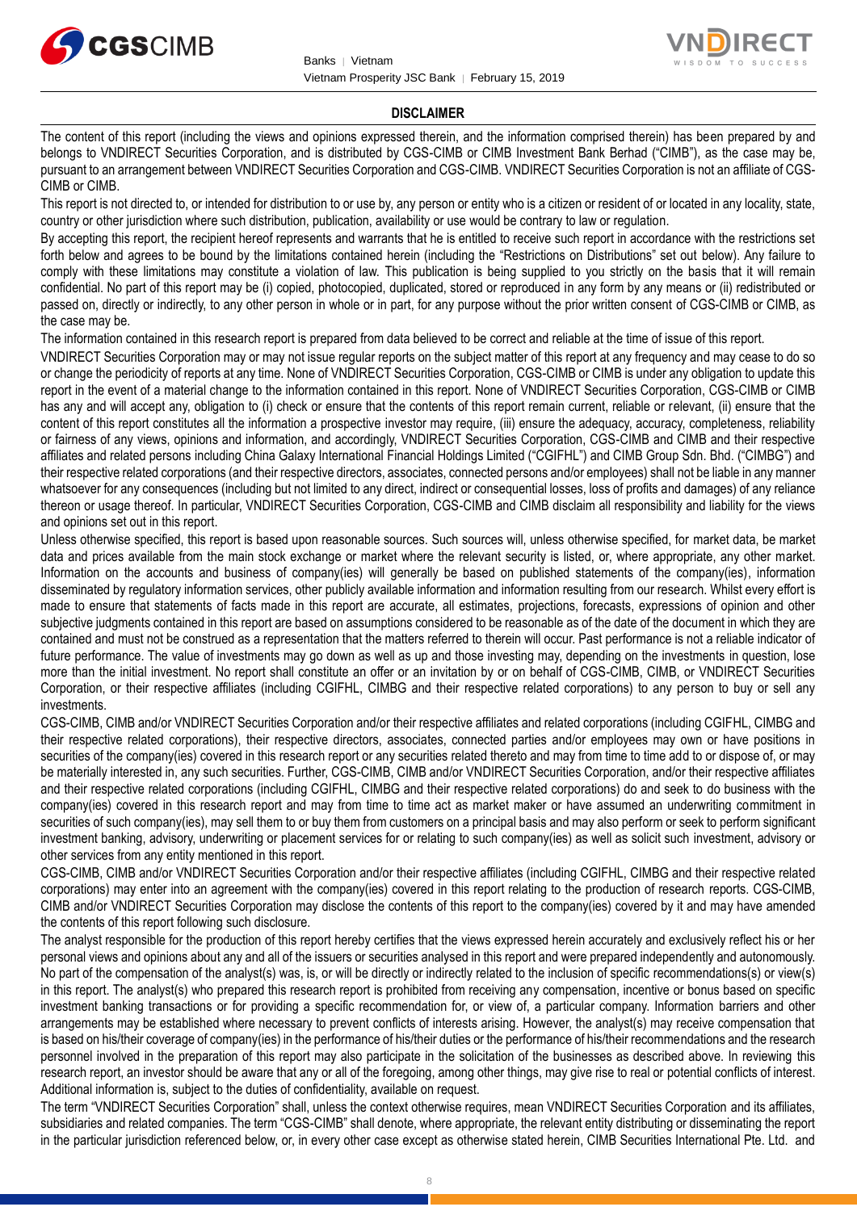



#### **DISCLAIMER**

The content of this report (including the views and opinions expressed therein, and the information comprised therein) has been prepared by and belongs to VNDIRECT Securities Corporation, and is distributed by CGS-CIMB or CIMB Investment Bank Berhad ("CIMB"), as the case may be, pursuant to an arrangement between VNDIRECT Securities Corporation and CGS-CIMB. VNDIRECT Securities Corporation is not an affiliate of CGS-CIMB or CIMB.

This report is not directed to, or intended for distribution to or use by, any person or entity who is a citizen or resident of or located in any locality, state, country or other jurisdiction where such distribution, publication, availability or use would be contrary to law or regulation.

By accepting this report, the recipient hereof represents and warrants that he is entitled to receive such report in accordance with the restrictions set forth below and agrees to be bound by the limitations contained herein (including the "Restrictions on Distributions" set out below). Any failure to comply with these limitations may constitute a violation of law. This publication is being supplied to you strictly on the basis that it will remain confidential. No part of this report may be (i) copied, photocopied, duplicated, stored or reproduced in any form by any means or (ii) redistributed or passed on, directly or indirectly, to any other person in whole or in part, for any purpose without the prior written consent of CGS-CIMB or CIMB, as the case may be.

The information contained in this research report is prepared from data believed to be correct and reliable at the time of issue of this report.

VNDIRECT Securities Corporation may or may not issue regular reports on the subject matter of this report at any frequency and may cease to do so or change the periodicity of reports at any time. None of VNDIRECT Securities Corporation, CGS-CIMB or CIMB is under any obligation to update this report in the event of a material change to the information contained in this report. None of VNDIRECT Securities Corporation, CGS-CIMB or CIMB has any and will accept any, obligation to (i) check or ensure that the contents of this report remain current, reliable or relevant, (ii) ensure that the content of this report constitutes all the information a prospective investor may require, (iii) ensure the adequacy, accuracy, completeness, reliability or fairness of any views, opinions and information, and accordingly, VNDIRECT Securities Corporation, CGS-CIMB and CIMB and their respective affiliates and related persons including China Galaxy International Financial Holdings Limited ("CGIFHL") and CIMB Group Sdn. Bhd. ("CIMBG") and their respective related corporations (and their respective directors, associates, connected persons and/or employees) shall not be liable in any manner whatsoever for any consequences (including but not limited to any direct, indirect or consequential losses, loss of profits and damages) of any reliance thereon or usage thereof. In particular, VNDIRECT Securities Corporation, CGS-CIMB and CIMB disclaim all responsibility and liability for the views and opinions set out in this report.

Unless otherwise specified, this report is based upon reasonable sources. Such sources will, unless otherwise specified, for market data, be market data and prices available from the main stock exchange or market where the relevant security is listed, or, where appropriate, any other market. Information on the accounts and business of company(ies) will generally be based on published statements of the company(ies), information disseminated by regulatory information services, other publicly available information and information resulting from our research. Whilst every effort is made to ensure that statements of facts made in this report are accurate, all estimates, projections, forecasts, expressions of opinion and other subjective judgments contained in this report are based on assumptions considered to be reasonable as of the date of the document in which they are contained and must not be construed as a representation that the matters referred to therein will occur. Past performance is not a reliable indicator of future performance. The value of investments may go down as well as up and those investing may, depending on the investments in question, lose more than the initial investment. No report shall constitute an offer or an invitation by or on behalf of CGS-CIMB, CIMB, or VNDIRECT Securities Corporation, or their respective affiliates (including CGIFHL, CIMBG and their respective related corporations) to any person to buy or sell any investments.

CGS-CIMB, CIMB and/or VNDIRECT Securities Corporation and/or their respective affiliates and related corporations (including CGIFHL, CIMBG and their respective related corporations), their respective directors, associates, connected parties and/or employees may own or have positions in securities of the company(ies) covered in this research report or any securities related thereto and may from time to time add to or dispose of, or may be materially interested in, any such securities. Further, CGS-CIMB, CIMB and/or VNDIRECT Securities Corporation, and/or their respective affiliates and their respective related corporations (including CGIFHL, CIMBG and their respective related corporations) do and seek to do business with the company(ies) covered in this research report and may from time to time act as market maker or have assumed an underwriting commitment in securities of such company(ies), may sell them to or buy them from customers on a principal basis and may also perform or seek to perform significant investment banking, advisory, underwriting or placement services for or relating to such company(ies) as well as solicit such investment, advisory or other services from any entity mentioned in this report.

CGS-CIMB, CIMB and/or VNDIRECT Securities Corporation and/or their respective affiliates (including CGIFHL, CIMBG and their respective related corporations) may enter into an agreement with the company(ies) covered in this report relating to the production of research reports. CGS-CIMB, CIMB and/or VNDIRECT Securities Corporation may disclose the contents of this report to the company(ies) covered by it and may have amended the contents of this report following such disclosure.

The analyst responsible for the production of this report hereby certifies that the views expressed herein accurately and exclusively reflect his or her personal views and opinions about any and all of the issuers or securities analysed in this report and were prepared independently and autonomously. No part of the compensation of the analyst(s) was, is, or will be directly or indirectly related to the inclusion of specific recommendations(s) or view(s) in this report. The analyst(s) who prepared this research report is prohibited from receiving any compensation, incentive or bonus based on specific investment banking transactions or for providing a specific recommendation for, or view of, a particular company. Information barriers and other arrangements may be established where necessary to prevent conflicts of interests arising. However, the analyst(s) may receive compensation that is based on his/their coverage of company(ies) in the performance of his/their duties or the performance of his/their recommendations and the research personnel involved in the preparation of this report may also participate in the solicitation of the businesses as described above. In reviewing this research report, an investor should be aware that any or all of the foregoing, among other things, may give rise to real or potential conflicts of interest. Additional information is, subject to the duties of confidentiality, available on request.

The term "VNDIRECT Securities Corporation" shall, unless the context otherwise requires, mean VNDIRECT Securities Corporation and its affiliates, subsidiaries and related companies. The term "CGS-CIMB" shall denote, where appropriate, the relevant entity distributing or disseminating the report in the particular jurisdiction referenced below, or, in every other case except as otherwise stated herein, CIMB Securities International Pte. Ltd. and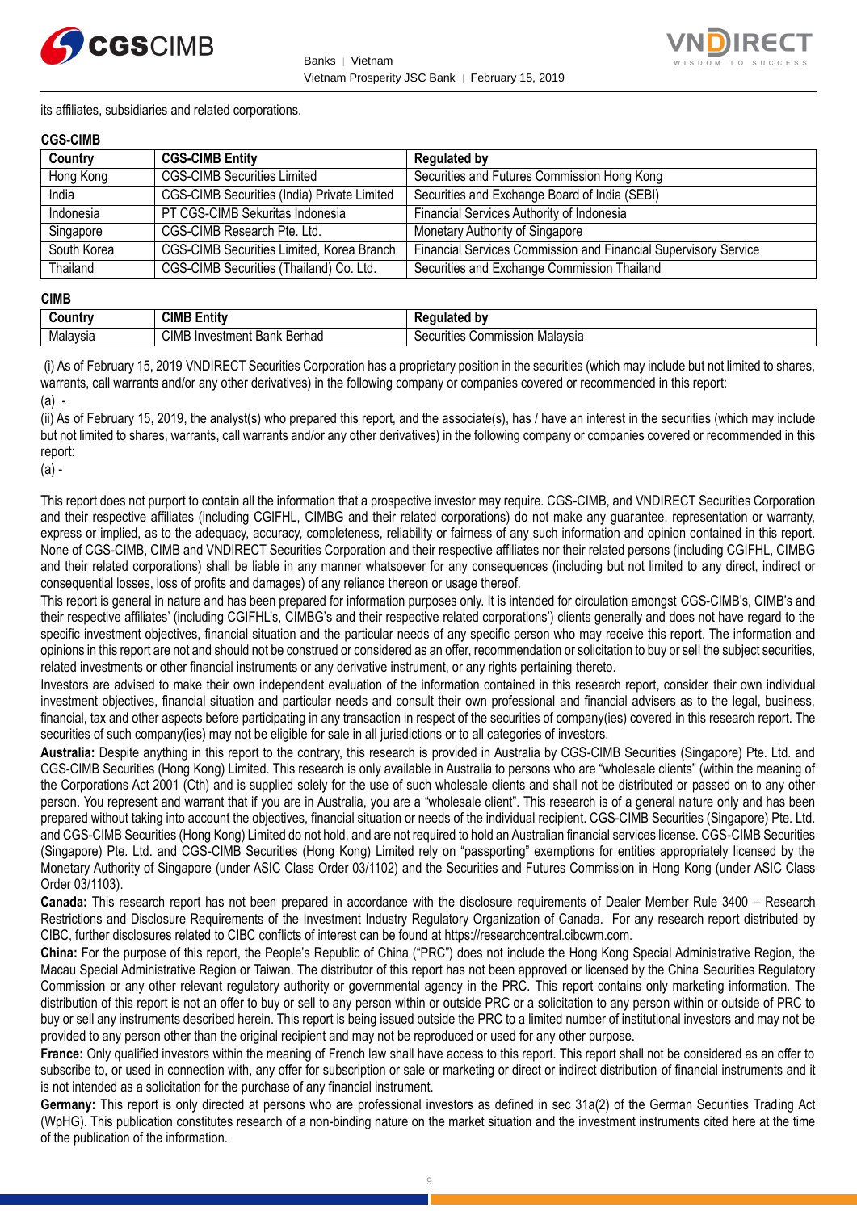



its affiliates, subsidiaries and related corporations.

#### **CGS-CIMB**

| Country     | <b>CGS-CIMB Entity</b>                             | <b>Regulated by</b>                                             |
|-------------|----------------------------------------------------|-----------------------------------------------------------------|
| Hong Kong   | <b>CGS-CIMB Securities Limited</b>                 | Securities and Futures Commission Hong Kong                     |
| India       | <b>CGS-CIMB Securities (India) Private Limited</b> | Securities and Exchange Board of India (SEBI)                   |
| Indonesia   | PT CGS-CIMB Sekuritas Indonesia                    | Financial Services Authority of Indonesia                       |
| Singapore   | CGS-CIMB Research Pte. Ltd.                        | Monetary Authority of Singapore                                 |
| South Korea | CGS-CIMB Securities Limited, Korea Branch          | Financial Services Commission and Financial Supervisory Service |
| Thailand    | CGS-CIMB Securities (Thailand) Co. Ltd.            | Securities and Exchange Commission Thailand                     |

#### **CIMB**

| ∶ountr\  | <b>CIML</b><br>.<br>- -<br>Entity            | b٧<br>--- -<br>.<br>παιει                                |
|----------|----------------------------------------------|----------------------------------------------------------|
| Malavsia | CIMB<br>Berhad<br>Investment<br>レハハレ<br>Dank | Malavsia<br>`ommissior<br>$\sim$<br>urities<br>vv.<br>ುರ |

(i) As of February 15, 2019 VNDIRECT Securities Corporation has a proprietary position in the securities (which may include but not limited to shares, warrants, call warrants and/or any other derivatives) in the following company or companies covered or recommended in this report: (a) -

(ii) As of February 15, 2019, the analyst(s) who prepared this report, and the associate(s), has / have an interest in the securities (which may include but not limited to shares, warrants, call warrants and/or any other derivatives) in the following company or companies covered or recommended in this report:

(a) -

This report does not purport to contain all the information that a prospective investor may require. CGS-CIMB, and VNDIRECT Securities Corporation and their respective affiliates (including CGIFHL, CIMBG and their related corporations) do not make any guarantee, representation or warranty, express or implied, as to the adequacy, accuracy, completeness, reliability or fairness of any such information and opinion contained in this report. None of CGS-CIMB, CIMB and VNDIRECT Securities Corporation and their respective affiliates nor their related persons (including CGIFHL, CIMBG and their related corporations) shall be liable in any manner whatsoever for any consequences (including but not limited to any direct, indirect or consequential losses, loss of profits and damages) of any reliance thereon or usage thereof.

This report is general in nature and has been prepared for information purposes only. It is intended for circulation amongst CGS-CIMB's, CIMB's and their respective affiliates' (including CGIFHL's, CIMBG's and their respective related corporations') clients generally and does not have regard to the specific investment objectives, financial situation and the particular needs of any specific person who may receive this report. The information and opinions in this report are not and should not be construed or considered as an offer, recommendation or solicitation to buy or sell the subject securities, related investments or other financial instruments or any derivative instrument, or any rights pertaining thereto.

Investors are advised to make their own independent evaluation of the information contained in this research report, consider their own individual investment objectives, financial situation and particular needs and consult their own professional and financial advisers as to the legal, business, financial, tax and other aspects before participating in any transaction in respect of the securities of company(ies) covered in this research report. The securities of such company(ies) may not be eligible for sale in all jurisdictions or to all categories of investors.

**Australia:** Despite anything in this report to the contrary, this research is provided in Australia by CGS-CIMB Securities (Singapore) Pte. Ltd. and CGS-CIMB Securities (Hong Kong) Limited. This research is only available in Australia to persons who are "wholesale clients" (within the meaning of the Corporations Act 2001 (Cth) and is supplied solely for the use of such wholesale clients and shall not be distributed or passed on to any other person. You represent and warrant that if you are in Australia, you are a "wholesale client". This research is of a general nature only and has been prepared without taking into account the objectives, financial situation or needs of the individual recipient. CGS-CIMB Securities (Singapore) Pte. Ltd. and CGS-CIMB Securities (Hong Kong) Limited do not hold, and are not required to hold an Australian financial services license. CGS-CIMB Securities (Singapore) Pte. Ltd. and CGS-CIMB Securities (Hong Kong) Limited rely on "passporting" exemptions for entities appropriately licensed by the Monetary Authority of Singapore (under ASIC Class Order 03/1102) and the Securities and Futures Commission in Hong Kong (under ASIC Class Order 03/1103).

**Canada:** This research report has not been prepared in accordance with the disclosure requirements of Dealer Member Rule 3400 – Research Restrictions and Disclosure Requirements of the Investment Industry Regulatory Organization of Canada. For any research report distributed by CIBC, further disclosures related to CIBC conflicts of interest can be found at https://researchcentral.cibcwm.com.

**China:** For the purpose of this report, the People's Republic of China ("PRC") does not include the Hong Kong Special Administrative Region, the Macau Special Administrative Region or Taiwan. The distributor of this report has not been approved or licensed by the China Securities Regulatory Commission or any other relevant regulatory authority or governmental agency in the PRC. This report contains only marketing information. The distribution of this report is not an offer to buy or sell to any person within or outside PRC or a solicitation to any person within or outside of PRC to buy or sell any instruments described herein. This report is being issued outside the PRC to a limited number of institutional investors and may not be provided to any person other than the original recipient and may not be reproduced or used for any other purpose.

**France:** Only qualified investors within the meaning of French law shall have access to this report. This report shall not be considered as an offer to subscribe to, or used in connection with, any offer for subscription or sale or marketing or direct or indirect distribution of financial instruments and it is not intended as a solicitation for the purchase of any financial instrument.

**Germany:** This report is only directed at persons who are professional investors as defined in sec 31a(2) of the German Securities Trading Act (WpHG). This publication constitutes research of a non-binding nature on the market situation and the investment instruments cited here at the time of the publication of the information.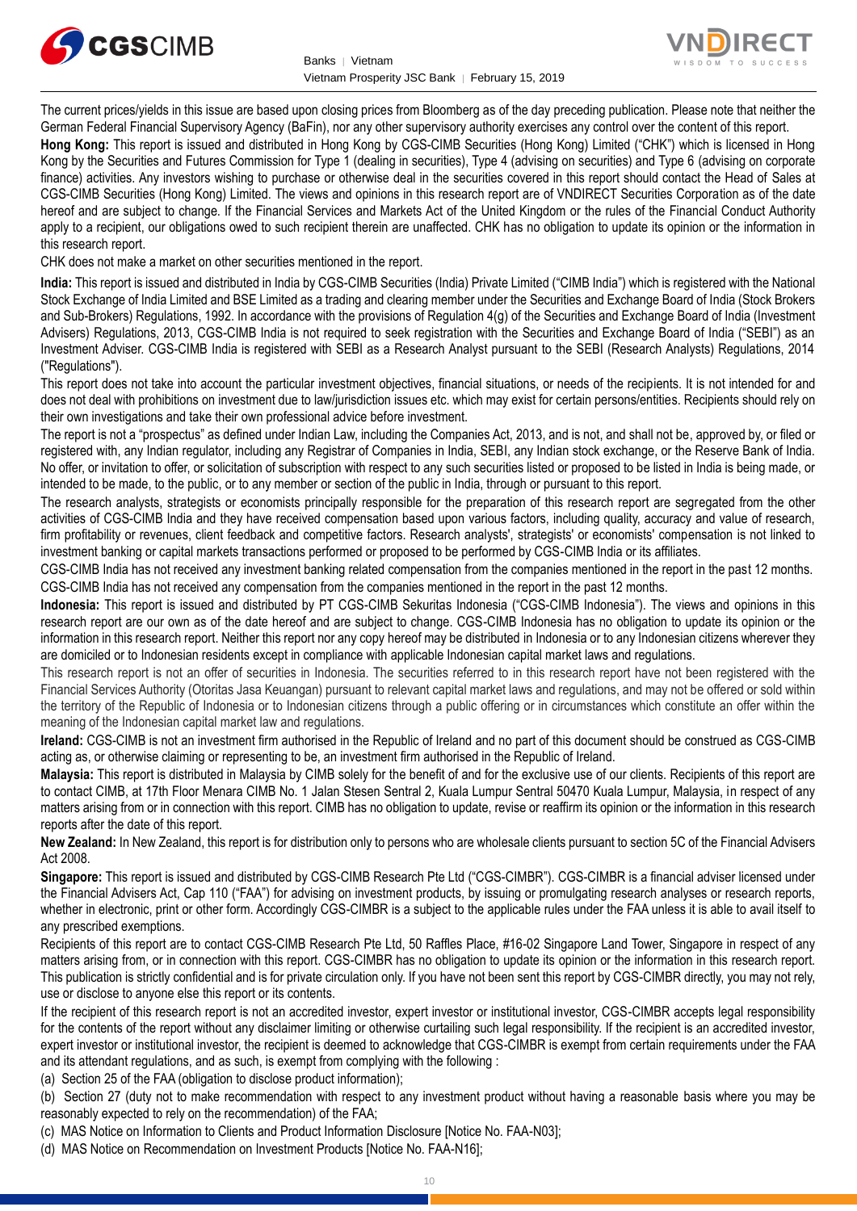



The current prices/yields in this issue are based upon closing prices from Bloomberg as of the day preceding publication. Please note that neither the German Federal Financial Supervisory Agency (BaFin), nor any other supervisory authority exercises any control over the content of this report.

**Hong Kong:** This report is issued and distributed in Hong Kong by CGS-CIMB Securities (Hong Kong) Limited ("CHK") which is licensed in Hong Kong by the Securities and Futures Commission for Type 1 (dealing in securities), Type 4 (advising on securities) and Type 6 (advising on corporate finance) activities. Any investors wishing to purchase or otherwise deal in the securities covered in this report should contact the Head of Sales at CGS-CIMB Securities (Hong Kong) Limited. The views and opinions in this research report are of VNDIRECT Securities Corporation as of the date hereof and are subject to change. If the Financial Services and Markets Act of the United Kingdom or the rules of the Financial Conduct Authority apply to a recipient, our obligations owed to such recipient therein are unaffected. CHK has no obligation to update its opinion or the information in this research report.

CHK does not make a market on other securities mentioned in the report.

**India:** This report is issued and distributed in India by CGS-CIMB Securities (India) Private Limited ("CIMB India") which is registered with the National Stock Exchange of India Limited and BSE Limited as a trading and clearing member under the Securities and Exchange Board of India (Stock Brokers and Sub-Brokers) Regulations, 1992. In accordance with the provisions of Regulation 4(g) of the Securities and Exchange Board of India (Investment Advisers) Regulations, 2013, CGS-CIMB India is not required to seek registration with the Securities and Exchange Board of India ("SEBI") as an Investment Adviser. CGS-CIMB India is registered with SEBI as a Research Analyst pursuant to the SEBI (Research Analysts) Regulations, 2014 ("Regulations").

This report does not take into account the particular investment objectives, financial situations, or needs of the recipients. It is not intended for and does not deal with prohibitions on investment due to law/jurisdiction issues etc. which may exist for certain persons/entities. Recipients should rely on their own investigations and take their own professional advice before investment.

The report is not a "prospectus" as defined under Indian Law, including the Companies Act, 2013, and is not, and shall not be, approved by, or filed or registered with, any Indian regulator, including any Registrar of Companies in India, SEBI, any Indian stock exchange, or the Reserve Bank of India. No offer, or invitation to offer, or solicitation of subscription with respect to any such securities listed or proposed to be listed in India is being made, or intended to be made, to the public, or to any member or section of the public in India, through or pursuant to this report.

The research analysts, strategists or economists principally responsible for the preparation of this research report are segregated from the other activities of CGS-CIMB India and they have received compensation based upon various factors, including quality, accuracy and value of research, firm profitability or revenues, client feedback and competitive factors. Research analysts', strategists' or economists' compensation is not linked to investment banking or capital markets transactions performed or proposed to be performed by CGS-CIMB India or its affiliates.

CGS-CIMB India has not received any investment banking related compensation from the companies mentioned in the report in the past 12 months. CGS-CIMB India has not received any compensation from the companies mentioned in the report in the past 12 months.

**Indonesia:** This report is issued and distributed by PT CGS-CIMB Sekuritas Indonesia ("CGS-CIMB Indonesia"). The views and opinions in this research report are our own as of the date hereof and are subject to change. CGS-CIMB Indonesia has no obligation to update its opinion or the information in this research report. Neither this report nor any copy hereof may be distributed in Indonesia or to any Indonesian citizens wherever they are domiciled or to Indonesian residents except in compliance with applicable Indonesian capital market laws and regulations.

This research report is not an offer of securities in Indonesia. The securities referred to in this research report have not been registered with the Financial Services Authority (Otoritas Jasa Keuangan) pursuant to relevant capital market laws and regulations, and may not be offered or sold within the territory of the Republic of Indonesia or to Indonesian citizens through a public offering or in circumstances which constitute an offer within the meaning of the Indonesian capital market law and regulations.

**Ireland:** CGS-CIMB is not an investment firm authorised in the Republic of Ireland and no part of this document should be construed as CGS-CIMB acting as, or otherwise claiming or representing to be, an investment firm authorised in the Republic of Ireland.

**Malaysia:** This report is distributed in Malaysia by CIMB solely for the benefit of and for the exclusive use of our clients. Recipients of this report are to contact CIMB, at 17th Floor Menara CIMB No. 1 Jalan Stesen Sentral 2, Kuala Lumpur Sentral 50470 Kuala Lumpur, Malaysia, in respect of any matters arising from or in connection with this report. CIMB has no obligation to update, revise or reaffirm its opinion or the information in this research reports after the date of this report.

**New Zealand:** In New Zealand, this report is for distribution only to persons who are wholesale clients pursuant to section 5C of the Financial Advisers Act 2008.

**Singapore:** This report is issued and distributed by CGS-CIMB Research Pte Ltd ("CGS-CIMBR"). CGS-CIMBR is a financial adviser licensed under the Financial Advisers Act, Cap 110 ("FAA") for advising on investment products, by issuing or promulgating research analyses or research reports, whether in electronic, print or other form. Accordingly CGS-CIMBR is a subject to the applicable rules under the FAA unless it is able to avail itself to any prescribed exemptions.

Recipients of this report are to contact CGS-CIMB Research Pte Ltd, 50 Raffles Place, #16-02 Singapore Land Tower, Singapore in respect of any matters arising from, or in connection with this report. CGS-CIMBR has no obligation to update its opinion or the information in this research report. This publication is strictly confidential and is for private circulation only. If you have not been sent this report by CGS-CIMBR directly, you may not rely, use or disclose to anyone else this report or its contents.

If the recipient of this research report is not an accredited investor, expert investor or institutional investor, CGS-CIMBR accepts legal responsibility for the contents of the report without any disclaimer limiting or otherwise curtailing such legal responsibility. If the recipient is an accredited investor, expert investor or institutional investor, the recipient is deemed to acknowledge that CGS-CIMBR is exempt from certain requirements under the FAA and its attendant regulations, and as such, is exempt from complying with the following :

(a) Section 25 of the FAA (obligation to disclose product information);

(b) Section 27 (duty not to make recommendation with respect to any investment product without having a reasonable basis where you may be reasonably expected to rely on the recommendation) of the FAA;

(c) MAS Notice on Information to Clients and Product Information Disclosure [Notice No. FAA-N03];

(d) MAS Notice on Recommendation on Investment Products [Notice No. FAA-N16];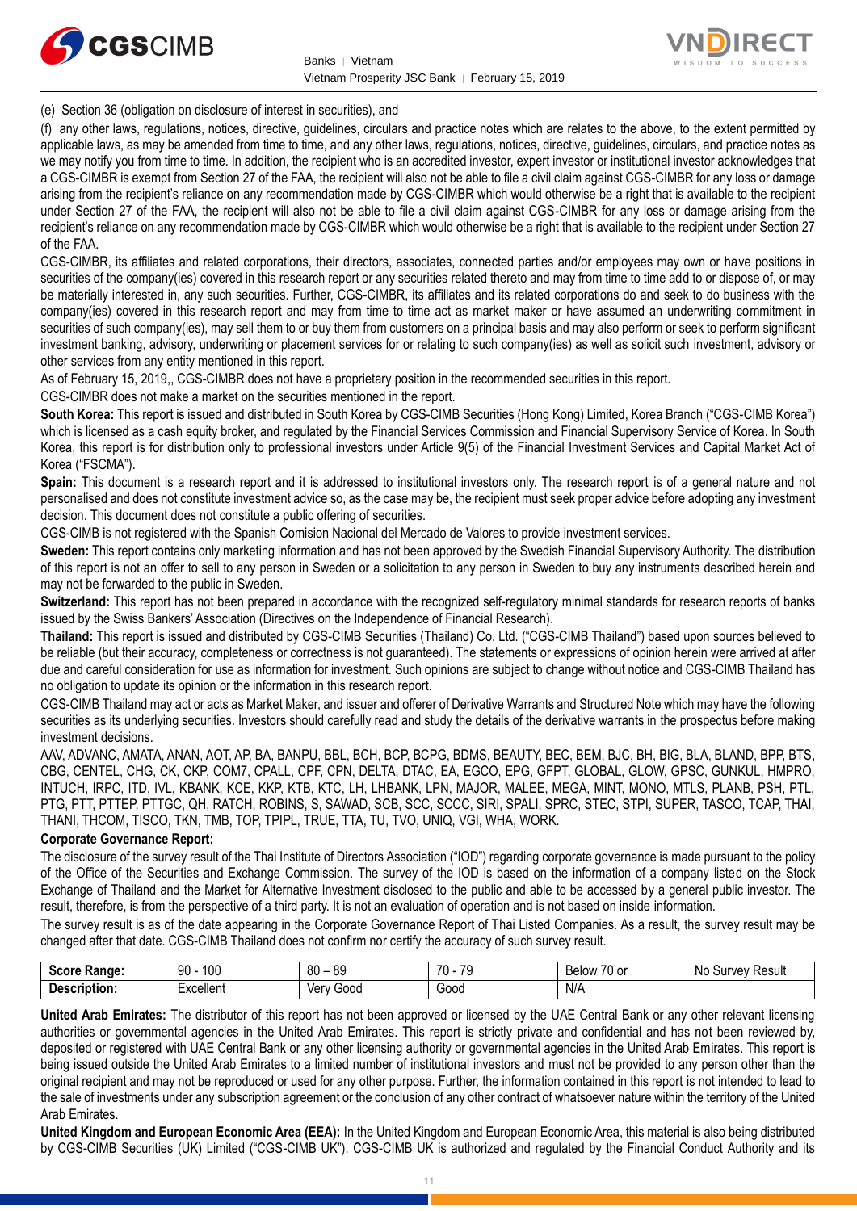



(e) Section 36 (obligation on disclosure of interest in securities), and

(f) any other laws, regulations, notices, directive, guidelines, circulars and practice notes which are relates to the above, to the extent permitted by applicable laws, as may be amended from time to time, and any other laws, regulations, notices, directive, guidelines, circulars, and practice notes as we may notify you from time to time. In addition, the recipient who is an accredited investor, expert investor or institutional investor acknowledges that a CGS-CIMBR is exempt from Section 27 of the FAA, the recipient will also not be able to file a civil claim against CGS-CIMBR for any loss or damage arising from the recipient's reliance on any recommendation made by CGS-CIMBR which would otherwise be a right that is available to the recipient under Section 27 of the FAA, the recipient will also not be able to file a civil claim against CGS-CIMBR for any loss or damage arising from the recipient's reliance on any recommendation made by CGS-CIMBR which would otherwise be a right that is available to the recipient under Section 27 of the FAA.

CGS-CIMBR, its affiliates and related corporations, their directors, associates, connected parties and/or employees may own or have positions in securities of the company(ies) covered in this research report or any securities related thereto and may from time to time add to or dispose of, or may be materially interested in, any such securities. Further, CGS-CIMBR, its affiliates and its related corporations do and seek to do business with the company(ies) covered in this research report and may from time to time act as market maker or have assumed an underwriting commitment in securities of such company(ies), may sell them to or buy them from customers on a principal basis and may also perform or seek to perform significant investment banking, advisory, underwriting or placement services for or relating to such company(ies) as well as solicit such investment, advisory or other services from any entity mentioned in this report.

As of February 15, 2019,, CGS-CIMBR does not have a proprietary position in the recommended securities in this report.

CGS-CIMBR does not make a market on the securities mentioned in the report.

**South Korea:** This report is issued and distributed in South Korea by CGS-CIMB Securities (Hong Kong) Limited, Korea Branch ("CGS-CIMB Korea") which is licensed as a cash equity broker, and regulated by the Financial Services Commission and Financial Supervisory Service of Korea. In South Korea, this report is for distribution only to professional investors under Article 9(5) of the Financial Investment Services and Capital Market Act of Korea ("FSCMA").

**Spain:** This document is a research report and it is addressed to institutional investors only. The research report is of a general nature and not personalised and does not constitute investment advice so, as the case may be, the recipient must seek proper advice before adopting any investment decision. This document does not constitute a public offering of securities.

CGS-CIMB is not registered with the Spanish Comision Nacional del Mercado de Valores to provide investment services.

**Sweden:** This report contains only marketing information and has not been approved by the Swedish Financial Supervisory Authority. The distribution of this report is not an offer to sell to any person in Sweden or a solicitation to any person in Sweden to buy any instruments described herein and may not be forwarded to the public in Sweden.

**Switzerland:** This report has not been prepared in accordance with the recognized self-regulatory minimal standards for research reports of banks issued by the Swiss Bankers' Association (Directives on the Independence of Financial Research).

**Thailand:** This report is issued and distributed by CGS-CIMB Securities (Thailand) Co. Ltd. ("CGS-CIMB Thailand") based upon sources believed to be reliable (but their accuracy, completeness or correctness is not guaranteed). The statements or expressions of opinion herein were arrived at after due and careful consideration for use as information for investment. Such opinions are subject to change without notice and CGS-CIMB Thailand has no obligation to update its opinion or the information in this research report.

CGS-CIMB Thailand may act or acts as Market Maker, and issuer and offerer of Derivative Warrants and Structured Note which may have the following securities as its underlying securities. Investors should carefully read and study the details of the derivative warrants in the prospectus before making investment decisions.

AAV, ADVANC, AMATA, ANAN, AOT, AP, BA, BANPU, BBL, BCH, BCP, BCPG, BDMS, BEAUTY, BEC, BEM, BJC, BH, BIG, BLA, BLAND, BPP, BTS, CBG, CENTEL, CHG, CK, CKP, COM7, CPALL, CPF, CPN, DELTA, DTAC, EA, EGCO, EPG, GFPT, GLOBAL, GLOW, GPSC, GUNKUL, HMPRO, INTUCH, IRPC, ITD, IVL, KBANK, KCE, KKP, KTB, KTC, LH, LHBANK, LPN, MAJOR, MALEE, MEGA, MINT, MONO, MTLS, PLANB, PSH, PTL, PTG, PTT, PTTEP, PTTGC, QH, RATCH, ROBINS, S, SAWAD, SCB, SCC, SCCC, SIRI, SPALI, SPRC, STEC, STPI, SUPER, TASCO, TCAP, THAI, THANI, THCOM, TISCO, TKN, TMB, TOP, TPIPL, TRUE, TTA, TU, TVO, UNIQ, VGI, WHA, WORK.

#### **Corporate Governance Report:**

The disclosure of the survey result of the Thai Institute of Directors Association ("IOD") regarding corporate governance is made pursuant to the policy of the Office of the Securities and Exchange Commission. The survey of the IOD is based on the information of a company listed on the Stock Exchange of Thailand and the Market for Alternative Investment disclosed to the public and able to be accessed by a general public investor. The result, therefore, is from the perspective of a third party. It is not an evaluation of operation and is not based on inside information.

The survey result is as of the date appearing in the Corporate Governance Report of Thai Listed Companies. As a result, the survey result may be changed after that date. CGS-CIMB Thailand does not confirm nor certify the accuracy of such survey result.

| <b>Score</b><br><b>Range:</b> | 100<br>90                                    | <b>RQ</b><br>- 80<br>vũ | 70<br>70<br>. . | $\overline{z}$<br>$\sim$<br>Below<br>ו טע | Result<br>N0<br>vev<br>SUL. |
|-------------------------------|----------------------------------------------|-------------------------|-----------------|-------------------------------------------|-----------------------------|
| <b>Description</b>            | $\overline{\phantom{0}}$<br><b>Excellent</b> | Good<br>Verv            | Good            | N/A                                       |                             |

**United Arab Emirates:** The distributor of this report has not been approved or licensed by the UAE Central Bank or any other relevant licensing authorities or governmental agencies in the United Arab Emirates. This report is strictly private and confidential and has not been reviewed by, deposited or registered with UAE Central Bank or any other licensing authority or governmental agencies in the United Arab Emirates. This report is being issued outside the United Arab Emirates to a limited number of institutional investors and must not be provided to any person other than the original recipient and may not be reproduced or used for any other purpose. Further, the information contained in this report is not intended to lead to the sale of investments under any subscription agreement or the conclusion of any other contract of whatsoever nature within the territory of the United Arab Emirates.

**United Kingdom and European Economic Area (EEA):** In the United Kingdom and European Economic Area, this material is also being distributed by CGS-CIMB Securities (UK) Limited ("CGS-CIMB UK"). CGS-CIMB UK is authorized and regulated by the Financial Conduct Authority and its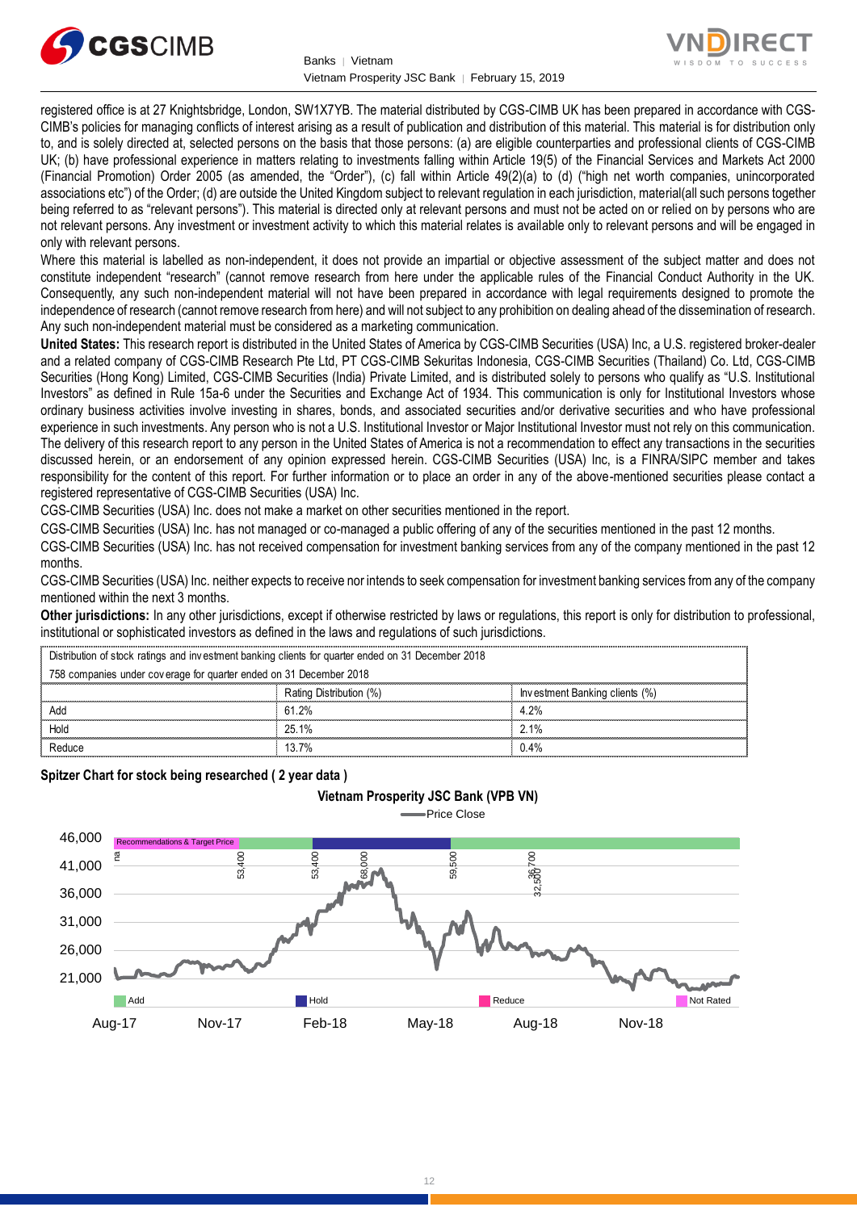



registered office is at 27 Knightsbridge, London, SW1X7YB. The material distributed by CGS-CIMB UK has been prepared in accordance with CGS-CIMB's policies for managing conflicts of interest arising as a result of publication and distribution of this material. This material is for distribution only to, and is solely directed at, selected persons on the basis that those persons: (a) are eligible counterparties and professional clients of CGS-CIMB UK; (b) have professional experience in matters relating to investments falling within Article 19(5) of the Financial Services and Markets Act 2000 (Financial Promotion) Order 2005 (as amended, the "Order"), (c) fall within Article 49(2)(a) to (d) ("high net worth companies, unincorporated associations etc") of the Order; (d) are outside the United Kingdom subject to relevant regulation in each jurisdiction, material(all such persons together being referred to as "relevant persons"). This material is directed only at relevant persons and must not be acted on or relied on by persons who are not relevant persons. Any investment or investment activity to which this material relates is available only to relevant persons and will be engaged in only with relevant persons.

Where this material is labelled as non-independent, it does not provide an impartial or objective assessment of the subject matter and does not constitute independent "research" (cannot remove research from here under the applicable rules of the Financial Conduct Authority in the UK. Consequently, any such non-independent material will not have been prepared in accordance with legal requirements designed to promote the independence of research (cannot remove research from here) and will not subject to any prohibition on dealing ahead of the dissemination of research. Any such non-independent material must be considered as a marketing communication.

**United States:** This research report is distributed in the United States of America by CGS-CIMB Securities (USA) Inc, a U.S. registered broker-dealer and a related company of CGS-CIMB Research Pte Ltd, PT CGS-CIMB Sekuritas Indonesia, CGS-CIMB Securities (Thailand) Co. Ltd, CGS-CIMB Securities (Hong Kong) Limited, CGS-CIMB Securities (India) Private Limited, and is distributed solely to persons who qualify as "U.S. Institutional Investors" as defined in Rule 15a-6 under the Securities and Exchange Act of 1934. This communication is only for Institutional Investors whose ordinary business activities involve investing in shares, bonds, and associated securities and/or derivative securities and who have professional experience in such investments. Any person who is not a U.S. Institutional Investor or Major Institutional Investor must not rely on this communication. The delivery of this research report to any person in the United States of America is not a recommendation to effect any transactions in the securities discussed herein, or an endorsement of any opinion expressed herein. CGS-CIMB Securities (USA) Inc, is a FINRA/SIPC member and takes responsibility for the content of this report. For further information or to place an order in any of the above-mentioned securities please contact a registered representative of CGS-CIMB Securities (USA) Inc.

CGS-CIMB Securities (USA) Inc. does not make a market on other securities mentioned in the report.

CGS-CIMB Securities (USA) Inc. has not managed or co-managed a public offering of any of the securities mentioned in the past 12 months.

CGS-CIMB Securities (USA) Inc. has not received compensation for investment banking services from any of the company mentioned in the past 12 months.

CGS-CIMB Securities (USA) Inc. neither expects to receive nor intends to seek compensation for investment banking services from any of the company mentioned within the next 3 months.

**Other jurisdictions:** In any other jurisdictions, except if otherwise restricted by laws or regulations, this report is only for distribution to professional, institutional or sophisticated investors as defined in the laws and regulations of such jurisdictions. entioned within the next 3 months.<br> **ther jurisdictions:** In any other jurisdictions, except if otherwise restricted by laws<br>
stitutional or sophisticated investors as defined in the laws and regulations of such j<br>
Distrib

**Vietnam Prosperity JSC Bank (VPB VN)**

**Spitzer Chart for stock being researched ( 2 year data )** 

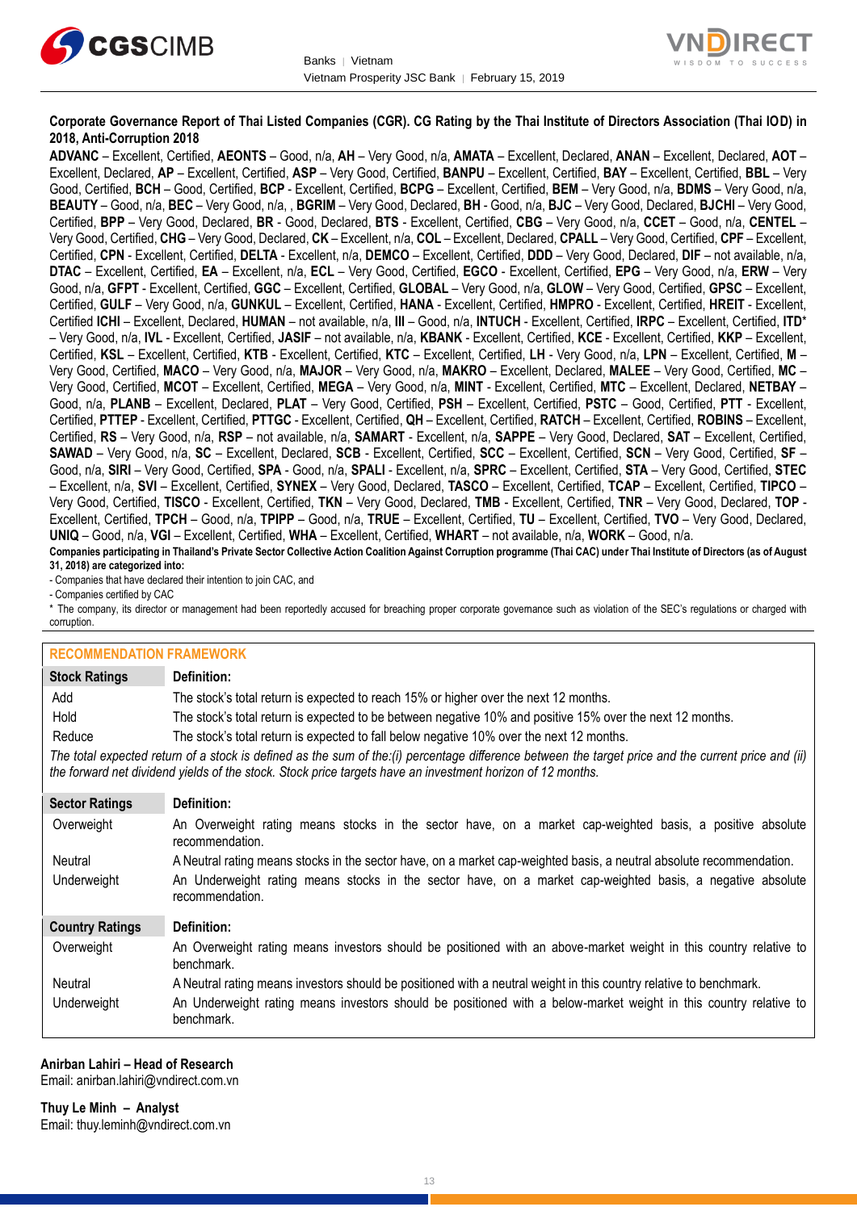



## **Corporate Governance Report of Thai Listed Companies (CGR). CG Rating by the Thai Institute of Directors Association (Thai IOD) in 2018, Anti-Corruption 2018**

**ADVANC** – Excellent, Certified, **AEONTS** – Good, n/a, **AH** – Very Good, n/a, **AMATA** – Excellent, Declared, **ANAN** – Excellent, Declared, **AOT** – Excellent, Declared, **AP** – Excellent, Certified, **ASP** – Very Good, Certified, **BANPU** – Excellent, Certified, **BAY** – Excellent, Certified, **BBL** – Very Good, Certified, **BCH** – Good, Certified, **BCP** - Excellent, Certified, **BCPG** – Excellent, Certified, **BEM** – Very Good, n/a, **BDMS** – Very Good, n/a, **BEAUTY** – Good, n/a, **BEC** – Very Good, n/a, , **BGRIM** – Very Good, Declared, **BH** - Good, n/a, **BJC** – Very Good, Declared, **BJCHI** – Very Good, Certified, **BPP** – Very Good, Declared, **BR** - Good, Declared, **BTS** - Excellent, Certified, **CBG** – Very Good, n/a, **CCET** – Good, n/a, **CENTEL** – Very Good, Certified, **CHG** – Very Good, Declared, **CK** – Excellent, n/a, **COL** – Excellent, Declared, **CPALL** – Very Good, Certified, **CPF** – Excellent, Certified, **CPN** - Excellent, Certified, **DELTA** - Excellent, n/a, **DEMCO** – Excellent, Certified, **DDD** – Very Good, Declared, **DIF** – not available, n/a, **DTAC** – Excellent, Certified, **EA** – Excellent, n/a, **ECL** – Very Good, Certified, **EGCO** - Excellent, Certified, **EPG** – Very Good, n/a, **ERW** – Very Good, n/a, **GFPT** - Excellent, Certified, **GGC** – Excellent, Certified, **GLOBAL** – Very Good, n/a, **GLOW** – Very Good, Certified, **GPSC** – Excellent, Certified, **GULF** – Very Good, n/a, **GUNKUL** – Excellent, Certified, **HANA** - Excellent, Certified, **HMPRO** - Excellent, Certified, **HREIT** - Excellent, Certified **ICHI** – Excellent, Declared, **HUMAN** – not available, n/a, **III** – Good, n/a, **INTUCH** - Excellent, Certified, **IRPC** – Excellent, Certified, **ITD**\* – Very Good, n/a, **IVL** - Excellent, Certified, **JASIF** – not available, n/a, **KBANK** - Excellent, Certified, **KCE** - Excellent, Certified, **KKP** – Excellent, Certified, **KSL** – Excellent, Certified, **KTB** - Excellent, Certified, **KTC** – Excellent, Certified, **LH** - Very Good, n/a, **LPN** – Excellent, Certified, **M** – Very Good, Certified, **MACO** – Very Good, n/a, **MAJOR** – Very Good, n/a, **MAKRO** – Excellent, Declared, **MALEE** – Very Good, Certified, **MC** – Very Good, Certified, **MCOT** – Excellent, Certified, **MEGA** – Very Good, n/a, **MINT** - Excellent, Certified, **MTC** – Excellent, Declared, **NETBAY** – Good, n/a, **PLANB** – Excellent, Declared, **PLAT** – Very Good, Certified, **PSH** – Excellent, Certified, **PSTC** – Good, Certified, **PTT** - Excellent, Certified, **PTTEP** - Excellent, Certified, **PTTGC** - Excellent, Certified, **QH** – Excellent, Certified, **RATCH** – Excellent, Certified, **ROBINS** – Excellent, Certified, **RS** – Very Good, n/a, **RSP** – not available, n/a, **SAMART** - Excellent, n/a, **SAPPE** – Very Good, Declared, **SAT** – Excellent, Certified, **SAWAD** – Very Good, n/a, **SC** – Excellent, Declared, **SCB** - Excellent, Certified, **SCC** – Excellent, Certified, **SCN** – Very Good, Certified, **SF** – Good, n/a, **SIRI** – Very Good, Certified, **SPA** - Good, n/a, **SPALI** - Excellent, n/a, **SPRC** – Excellent, Certified, **STA** – Very Good, Certified, **STEC** – Excellent, n/a, **SVI** – Excellent, Certified, **SYNEX** – Very Good, Declared, **TASCO** – Excellent, Certified, **TCAP** – Excellent, Certified, **TIPCO** – Very Good, Certified, **TISCO** - Excellent, Certified, **TKN** – Very Good, Declared, **TMB** - Excellent, Certified, **TNR** – Very Good, Declared, **TOP** - Excellent, Certified, **TPCH** – Good, n/a, **TPIPP** – Good, n/a, **TRUE** – Excellent, Certified, **TU** – Excellent, Certified, **TVO** – Very Good, Declared, **UNIQ** – Good, n/a, **VGI** – Excellent, Certified, **WHA** – Excellent, Certified, **WHART** – not available, n/a, **WORK** – Good, n/a.

**Companies participating in Thailand's Private Sector Collective Action Coalition Against Corruption programme (Thai CAC) under Thai Institute of Directors (as of August 31, 2018) are categorized into:**

- Companies that have declared their intention to join CAC, and

- Companies certified by CAC

\* The company, its director or management had been reportedly accused for breaching proper corporate governance such as violation of the SEC's regulations or charged with corruption.

## **RECOMMENDATION FRAMEWORK**

| <b>Stock Ratings</b>   | Definition:                                                                                                                                                                                                                                                       |
|------------------------|-------------------------------------------------------------------------------------------------------------------------------------------------------------------------------------------------------------------------------------------------------------------|
| Add                    | The stock's total return is expected to reach 15% or higher over the next 12 months.                                                                                                                                                                              |
| Hold                   | The stock's total return is expected to be between negative 10% and positive 15% over the next 12 months.                                                                                                                                                         |
| Reduce                 | The stock's total return is expected to fall below negative 10% over the next 12 months.                                                                                                                                                                          |
|                        | The total expected return of a stock is defined as the sum of the:(i) percentage difference between the target price and the current price and (ii)<br>the forward net dividend yields of the stock. Stock price targets have an investment horizon of 12 months. |
| <b>Sector Ratings</b>  | Definition:                                                                                                                                                                                                                                                       |
| Overweight             | An Overweight rating means stocks in the sector have, on a market cap-weighted basis, a positive absolute<br>recommendation.                                                                                                                                      |
| Neutral                | A Neutral rating means stocks in the sector have, on a market cap-weighted basis, a neutral absolute recommendation.                                                                                                                                              |
| Underweight            | An Underweight rating means stocks in the sector have, on a market cap-weighted basis, a negative absolute<br>recommendation.                                                                                                                                     |
| <b>Country Ratings</b> | Definition:                                                                                                                                                                                                                                                       |
| Overweight             | An Overweight rating means investors should be positioned with an above-market weight in this country relative to<br>benchmark.                                                                                                                                   |
| Neutral                | A Neutral rating means investors should be positioned with a neutral weight in this country relative to benchmark.                                                                                                                                                |
| Underweight            | An Underweight rating means investors should be positioned with a below-market weight in this country relative to<br>benchmark.                                                                                                                                   |

#### **Anirban Lahiri – Head of Research** Email: [anirban.lahiri@vndirect.com.vn](mailto:anirban.lahiri@vndirect.com.vn)

**Thuy Le Minh – Analyst** Email: [thuy.leminh@vndirect.com.vn](mailto:thuy.leminh@vndirect.com.vn)